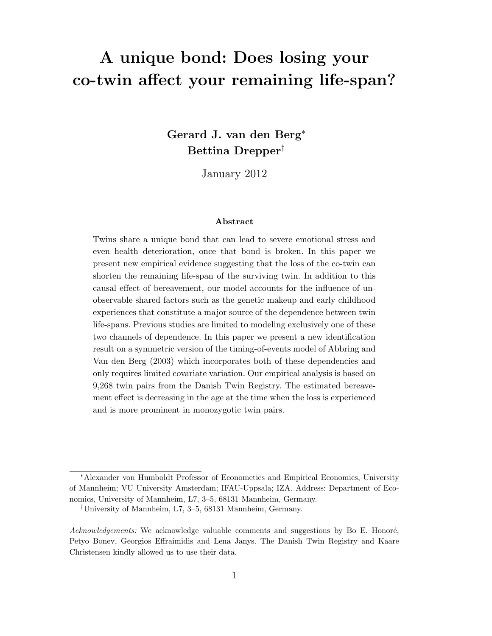# A unique bond: Does losing your co-twin affect your remaining life-span?

Gerard J. van den Berg<sup>∗</sup> Bettina Drepper†

January 2012

#### Abstract

Twins share a unique bond that can lead to severe emotional stress and even health deterioration, once that bond is broken. In this paper we present new empirical evidence suggesting that the loss of the co-twin can shorten the remaining life-span of the surviving twin. In addition to this causal effect of bereavement, our model accounts for the influence of unobservable shared factors such as the genetic makeup and early childhood experiences that constitute a major source of the dependence between twin life-spans. Previous studies are limited to modeling exclusively one of these two channels of dependence. In this paper we present a new identification result on a symmetric version of the timing-of-events model of Abbring and Van den Berg (2003) which incorporates both of these dependencies and only requires limited covariate variation. Our empirical analysis is based on 9,268 twin pairs from the Danish Twin Registry. The estimated bereavement effect is decreasing in the age at the time when the loss is experienced and is more prominent in monozygotic twin pairs.

<sup>∗</sup>Alexander von Humboldt Professor of Econometics and Empirical Economics, University of Mannheim; VU University Amsterdam; IFAU-Uppsala; IZA. Address: Department of Economics, University of Mannheim, L7, 3–5, 68131 Mannheim, Germany.

<sup>†</sup>University of Mannheim, L7, 3–5, 68131 Mannheim, Germany.

 $Acknowledgements: We acknowledge valuable comments and suggestions by Bo E. Honoré,$ Petyo Bonev, Georgios Effraimidis and Lena Janys. The Danish Twin Registry and Kaare Christensen kindly allowed us to use their data.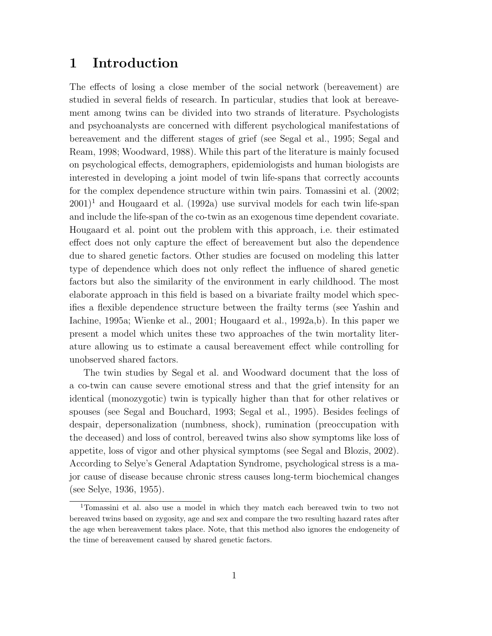## 1 Introduction

The effects of losing a close member of the social network (bereavement) are studied in several fields of research. In particular, studies that look at bereavement among twins can be divided into two strands of literature. Psychologists and psychoanalysts are concerned with different psychological manifestations of bereavement and the different stages of grief (see Segal et al., 1995; Segal and Ream, 1998; Woodward, 1988). While this part of the literature is mainly focused on psychological effects, demographers, epidemiologists and human biologists are interested in developing a joint model of twin life-spans that correctly accounts for the complex dependence structure within twin pairs. Tomassini et al. (2002;  $2001$ <sup>1</sup> and Hougaard et al. (1992a) use survival models for each twin life-span and include the life-span of the co-twin as an exogenous time dependent covariate. Hougaard et al. point out the problem with this approach, i.e. their estimated effect does not only capture the effect of bereavement but also the dependence due to shared genetic factors. Other studies are focused on modeling this latter type of dependence which does not only reflect the influence of shared genetic factors but also the similarity of the environment in early childhood. The most elaborate approach in this field is based on a bivariate frailty model which specifies a flexible dependence structure between the frailty terms (see Yashin and Iachine, 1995a; Wienke et al., 2001; Hougaard et al., 1992a,b). In this paper we present a model which unites these two approaches of the twin mortality literature allowing us to estimate a causal bereavement effect while controlling for unobserved shared factors.

The twin studies by Segal et al. and Woodward document that the loss of a co-twin can cause severe emotional stress and that the grief intensity for an identical (monozygotic) twin is typically higher than that for other relatives or spouses (see Segal and Bouchard, 1993; Segal et al., 1995). Besides feelings of despair, depersonalization (numbness, shock), rumination (preoccupation with the deceased) and loss of control, bereaved twins also show symptoms like loss of appetite, loss of vigor and other physical symptoms (see Segal and Blozis, 2002). According to Selye's General Adaptation Syndrome, psychological stress is a major cause of disease because chronic stress causes long-term biochemical changes (see Selye, 1936, 1955).

<sup>1</sup>Tomassini et al. also use a model in which they match each bereaved twin to two not bereaved twins based on zygosity, age and sex and compare the two resulting hazard rates after the age when bereavement takes place. Note, that this method also ignores the endogeneity of the time of bereavement caused by shared genetic factors.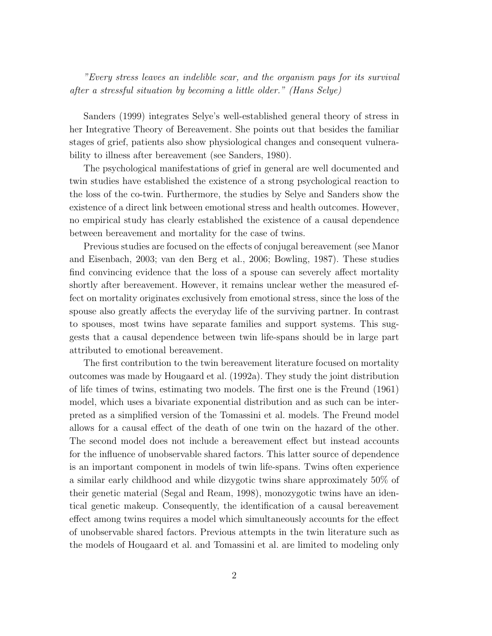"Every stress leaves an indelible scar, and the organism pays for its survival after a stressful situation by becoming a little older." (Hans Selye)

Sanders (1999) integrates Selye's well-established general theory of stress in her Integrative Theory of Bereavement. She points out that besides the familiar stages of grief, patients also show physiological changes and consequent vulnerability to illness after bereavement (see Sanders, 1980).

The psychological manifestations of grief in general are well documented and twin studies have established the existence of a strong psychological reaction to the loss of the co-twin. Furthermore, the studies by Selye and Sanders show the existence of a direct link between emotional stress and health outcomes. However, no empirical study has clearly established the existence of a causal dependence between bereavement and mortality for the case of twins.

Previous studies are focused on the effects of conjugal bereavement (see Manor and Eisenbach, 2003; van den Berg et al., 2006; Bowling, 1987). These studies find convincing evidence that the loss of a spouse can severely affect mortality shortly after bereavement. However, it remains unclear wether the measured effect on mortality originates exclusively from emotional stress, since the loss of the spouse also greatly affects the everyday life of the surviving partner. In contrast to spouses, most twins have separate families and support systems. This suggests that a causal dependence between twin life-spans should be in large part attributed to emotional bereavement.

The first contribution to the twin bereavement literature focused on mortality outcomes was made by Hougaard et al. (1992a). They study the joint distribution of life times of twins, estimating two models. The first one is the Freund (1961) model, which uses a bivariate exponential distribution and as such can be interpreted as a simplified version of the Tomassini et al. models. The Freund model allows for a causal effect of the death of one twin on the hazard of the other. The second model does not include a bereavement effect but instead accounts for the influence of unobservable shared factors. This latter source of dependence is an important component in models of twin life-spans. Twins often experience a similar early childhood and while dizygotic twins share approximately 50% of their genetic material (Segal and Ream, 1998), monozygotic twins have an identical genetic makeup. Consequently, the identification of a causal bereavement effect among twins requires a model which simultaneously accounts for the effect of unobservable shared factors. Previous attempts in the twin literature such as the models of Hougaard et al. and Tomassini et al. are limited to modeling only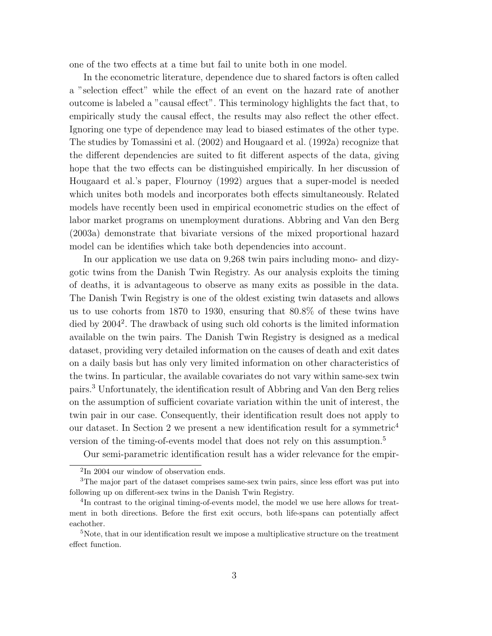one of the two effects at a time but fail to unite both in one model.

In the econometric literature, dependence due to shared factors is often called a "selection effect" while the effect of an event on the hazard rate of another outcome is labeled a "causal effect". This terminology highlights the fact that, to empirically study the causal effect, the results may also reflect the other effect. Ignoring one type of dependence may lead to biased estimates of the other type. The studies by Tomassini et al. (2002) and Hougaard et al. (1992a) recognize that the different dependencies are suited to fit different aspects of the data, giving hope that the two effects can be distinguished empirically. In her discussion of Hougaard et al.'s paper, Flournoy (1992) argues that a super-model is needed which unites both models and incorporates both effects simultaneously. Related models have recently been used in empirical econometric studies on the effect of labor market programs on unemployment durations. Abbring and Van den Berg (2003a) demonstrate that bivariate versions of the mixed proportional hazard model can be identifies which take both dependencies into account.

In our application we use data on 9,268 twin pairs including mono- and dizygotic twins from the Danish Twin Registry. As our analysis exploits the timing of deaths, it is advantageous to observe as many exits as possible in the data. The Danish Twin Registry is one of the oldest existing twin datasets and allows us to use cohorts from 1870 to 1930, ensuring that 80.8% of these twins have died by 2004<sup>2</sup>. The drawback of using such old cohorts is the limited information available on the twin pairs. The Danish Twin Registry is designed as a medical dataset, providing very detailed information on the causes of death and exit dates on a daily basis but has only very limited information on other characteristics of the twins. In particular, the available covariates do not vary within same-sex twin pairs.<sup>3</sup> Unfortunately, the identification result of Abbring and Van den Berg relies on the assumption of sufficient covariate variation within the unit of interest, the twin pair in our case. Consequently, their identification result does not apply to our dataset. In Section 2 we present a new identification result for a symmetric<sup>4</sup> version of the timing-of-events model that does not rely on this assumption.<sup>5</sup>

Our semi-parametric identification result has a wider relevance for the empir-

<sup>2</sup> In 2004 our window of observation ends.

<sup>3</sup>The major part of the dataset comprises same-sex twin pairs, since less effort was put into following up on different-sex twins in the Danish Twin Registry.

<sup>&</sup>lt;sup>4</sup>In contrast to the original timing-of-events model, the model we use here allows for treatment in both directions. Before the first exit occurs, both life-spans can potentially affect eachother.

 $5$ Note, that in our identification result we impose a multiplicative structure on the treatment effect function.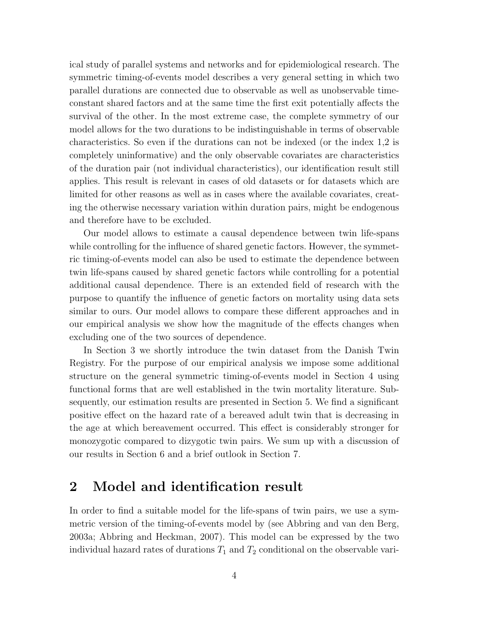ical study of parallel systems and networks and for epidemiological research. The symmetric timing-of-events model describes a very general setting in which two parallel durations are connected due to observable as well as unobservable timeconstant shared factors and at the same time the first exit potentially affects the survival of the other. In the most extreme case, the complete symmetry of our model allows for the two durations to be indistinguishable in terms of observable characteristics. So even if the durations can not be indexed (or the index 1,2 is completely uninformative) and the only observable covariates are characteristics of the duration pair (not individual characteristics), our identification result still applies. This result is relevant in cases of old datasets or for datasets which are limited for other reasons as well as in cases where the available covariates, creating the otherwise necessary variation within duration pairs, might be endogenous and therefore have to be excluded.

Our model allows to estimate a causal dependence between twin life-spans while controlling for the influence of shared genetic factors. However, the symmetric timing-of-events model can also be used to estimate the dependence between twin life-spans caused by shared genetic factors while controlling for a potential additional causal dependence. There is an extended field of research with the purpose to quantify the influence of genetic factors on mortality using data sets similar to ours. Our model allows to compare these different approaches and in our empirical analysis we show how the magnitude of the effects changes when excluding one of the two sources of dependence.

In Section 3 we shortly introduce the twin dataset from the Danish Twin Registry. For the purpose of our empirical analysis we impose some additional structure on the general symmetric timing-of-events model in Section 4 using functional forms that are well established in the twin mortality literature. Subsequently, our estimation results are presented in Section 5. We find a significant positive effect on the hazard rate of a bereaved adult twin that is decreasing in the age at which bereavement occurred. This effect is considerably stronger for monozygotic compared to dizygotic twin pairs. We sum up with a discussion of our results in Section 6 and a brief outlook in Section 7.

# 2 Model and identification result

In order to find a suitable model for the life-spans of twin pairs, we use a symmetric version of the timing-of-events model by (see Abbring and van den Berg, 2003a; Abbring and Heckman, 2007). This model can be expressed by the two individual hazard rates of durations  $T_1$  and  $T_2$  conditional on the observable vari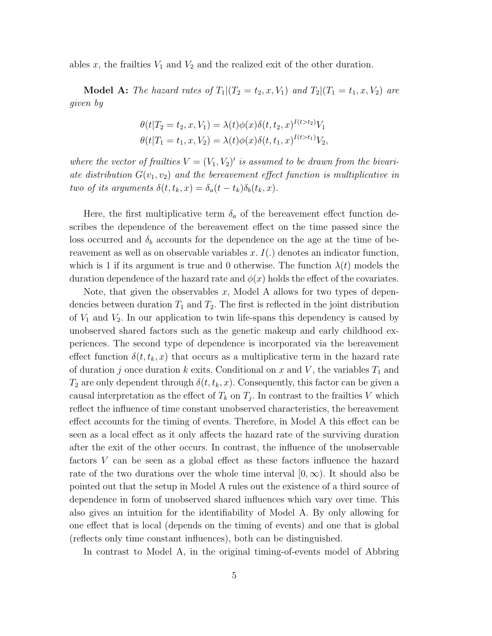ables x, the frailties  $V_1$  and  $V_2$  and the realized exit of the other duration.

**Model A:** The hazard rates of  $T_1|(T_2=t_2,x,V_1)$  and  $T_2|(T_1=t_1,x,V_2)$  are given by

$$
\theta(t|T_2 = t_2, x, V_1) = \lambda(t)\phi(x)\delta(t, t_2, x)^{I(t > t_2)}V_1
$$
  

$$
\theta(t|T_1 = t_1, x, V_2) = \lambda(t)\phi(x)\delta(t, t_1, x)^{I(t > t_1)}V_2,
$$

where the vector of frailties  $V = (V_1, V_2)'$  is assumed to be drawn from the bivariate distribution  $G(v_1, v_2)$  and the bereavement effect function is multiplicative in two of its arguments  $\delta(t, t_k, x) = \delta_a(t - t_k)\delta_b(t_k, x)$ .

Here, the first multiplicative term  $\delta_a$  of the bereavement effect function describes the dependence of the bereavement effect on the time passed since the loss occurred and  $\delta_b$  accounts for the dependence on the age at the time of bereavement as well as on observable variables  $x$ .  $I(.)$  denotes an indicator function, which is 1 if its argument is true and 0 otherwise. The function  $\lambda(t)$  models the duration dependence of the hazard rate and  $\phi(x)$  holds the effect of the covariates.

Note, that given the observables x, Model A allows for two types of dependencies between duration  $T_1$  and  $T_2$ . The first is reflected in the joint distribution of  $V_1$  and  $V_2$ . In our application to twin life-spans this dependency is caused by unobserved shared factors such as the genetic makeup and early childhood experiences. The second type of dependence is incorporated via the bereavement effect function  $\delta(t, t_k, x)$  that occurs as a multiplicative term in the hazard rate of duration j once duration k exits. Conditional on x and V, the variables  $T_1$  and  $T_2$  are only dependent through  $\delta(t, t_k, x)$ . Consequently, this factor can be given a causal interpretation as the effect of  $T_k$  on  $T_j$ . In contrast to the frailties V which reflect the influence of time constant unobserved characteristics, the bereavement effect accounts for the timing of events. Therefore, in Model A this effect can be seen as a local effect as it only affects the hazard rate of the surviving duration after the exit of the other occurs. In contrast, the influence of the unobservable factors V can be seen as a global effect as these factors influence the hazard rate of the two durations over the whole time interval  $[0,\infty)$ . It should also be pointed out that the setup in Model A rules out the existence of a third source of dependence in form of unobserved shared influences which vary over time. This also gives an intuition for the identifiability of Model A. By only allowing for one effect that is local (depends on the timing of events) and one that is global (reflects only time constant influences), both can be distinguished.

In contrast to Model A, in the original timing-of-events model of Abbring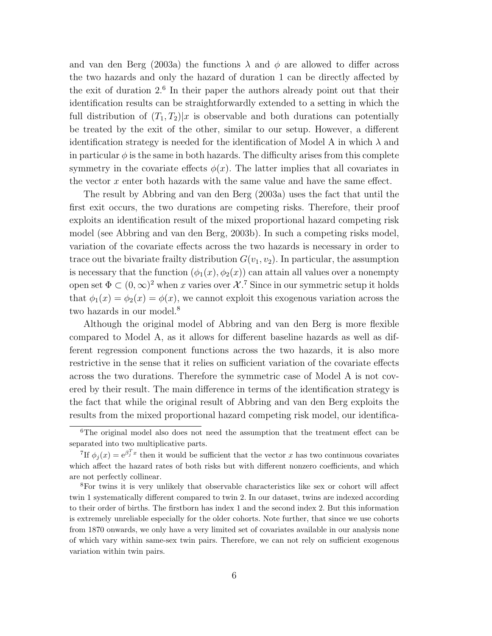and van den Berg (2003a) the functions  $\lambda$  and  $\phi$  are allowed to differ across the two hazards and only the hazard of duration 1 can be directly affected by the exit of duration 2.<sup>6</sup> In their paper the authors already point out that their identification results can be straightforwardly extended to a setting in which the full distribution of  $(T_1, T_2)|x$  is observable and both durations can potentially be treated by the exit of the other, similar to our setup. However, a different identification strategy is needed for the identification of Model A in which  $\lambda$  and in particular  $\phi$  is the same in both hazards. The difficulty arises from this complete symmetry in the covariate effects  $\phi(x)$ . The latter implies that all covariates in the vector x enter both hazards with the same value and have the same effect.

The result by Abbring and van den Berg (2003a) uses the fact that until the first exit occurs, the two durations are competing risks. Therefore, their proof exploits an identification result of the mixed proportional hazard competing risk model (see Abbring and van den Berg, 2003b). In such a competing risks model, variation of the covariate effects across the two hazards is necessary in order to trace out the bivariate frailty distribution  $G(v_1, v_2)$ . In particular, the assumption is necessary that the function  $(\phi_1(x), \phi_2(x))$  can attain all values over a nonempty open set  $\Phi \subset (0,\infty)^2$  when x varies over  $\mathcal{X}$ .<sup>7</sup> Since in our symmetric setup it holds that  $\phi_1(x) = \phi_2(x) = \phi(x)$ , we cannot exploit this exogenous variation across the two hazards in our model.<sup>8</sup>

Although the original model of Abbring and van den Berg is more flexible compared to Model A, as it allows for different baseline hazards as well as different regression component functions across the two hazards, it is also more restrictive in the sense that it relies on sufficient variation of the covariate effects across the two durations. Therefore the symmetric case of Model A is not covered by their result. The main difference in terms of the identification strategy is the fact that while the original result of Abbring and van den Berg exploits the results from the mixed proportional hazard competing risk model, our identifica-

<sup>6</sup>The original model also does not need the assumption that the treatment effect can be separated into two multiplicative parts.

<sup>&</sup>lt;sup>7</sup>If  $\phi_j(x) = e^{\beta_j^T x}$  then it would be sufficient that the vector x has two continuous covariates which affect the hazard rates of both risks but with different nonzero coefficients, and which are not perfectly collinear.

<sup>8</sup>For twins it is very unlikely that observable characteristics like sex or cohort will affect twin 1 systematically different compared to twin 2. In our dataset, twins are indexed according to their order of births. The firstborn has index 1 and the second index 2. But this information is extremely unreliable especially for the older cohorts. Note further, that since we use cohorts from 1870 onwards, we only have a very limited set of covariates available in our analysis none of which vary within same-sex twin pairs. Therefore, we can not rely on sufficient exogenous variation within twin pairs.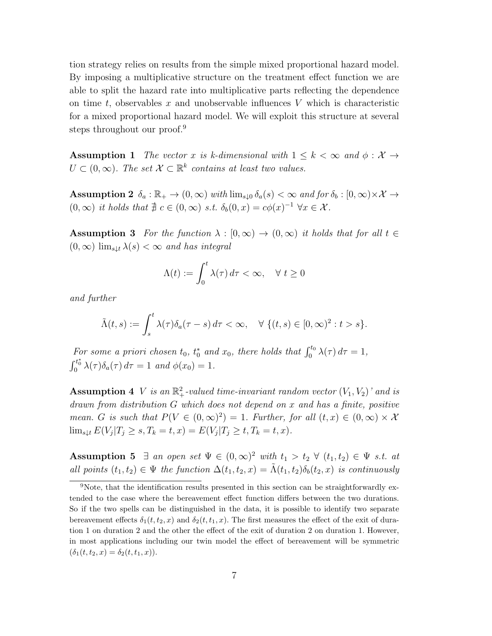tion strategy relies on results from the simple mixed proportional hazard model. By imposing a multiplicative structure on the treatment effect function we are able to split the hazard rate into multiplicative parts reflecting the dependence on time  $t$ , observables x and unobservable influences V which is characteristic for a mixed proportional hazard model. We will exploit this structure at several steps throughout our proof.<sup>9</sup>

Assumption 1 The vector x is k-dimensional with  $1 \leq k < \infty$  and  $\phi : \mathcal{X} \to$  $U \subset (0,\infty)$ . The set  $\mathcal{X} \subset \mathbb{R}^k$  contains at least two values.

Assumption 2  $\delta_a : \mathbb{R}_+ \to (0,\infty)$  with  $\lim_{s\downarrow 0} \delta_a(s) < \infty$  and for  $\delta_b : [0,\infty) \times \mathcal{X} \to$  $(0, \infty)$  it holds that  $\nexists c \in (0, \infty)$  s.t.  $\delta_b(0, x) = c\phi(x)^{-1} \,\forall x \in \mathcal{X}$ .

**Assumption 3** For the function  $\lambda : [0, \infty) \to (0, \infty)$  it holds that for all  $t \in$  $(0,\infty)$  lim<sub>s</sub><sub>Lt</sub>  $\lambda(s) < \infty$  and has integral

$$
\Lambda(t) := \int_0^t \lambda(\tau) \, d\tau < \infty, \quad \forall \ t \ge 0
$$

and further

$$
\tilde{\Lambda}(t,s) := \int_s^t \lambda(\tau) \delta_a(\tau - s) d\tau < \infty, \quad \forall \ (t,s) \in [0,\infty)^2 : t > s \}.
$$

For some a priori chosen  $t_0$ ,  $t_0^*$  and  $x_0$ , there holds that  $\int_0^{t_0} \lambda(\tau) d\tau = 1$ ,  $\int_0^{t_0^*} \lambda(\tau) \delta_a(\tau) d\tau = 1$  and  $\phi(x_0) = 1$ .

**Assumption 4** V is an  $\mathbb{R}^2_+$ -valued time-invariant random vector  $(V_1, V_2)$ ' and is drawn from distribution G which does not depend on x and has a finite, positive mean. G is such that  $P(V \in (0,\infty)^2) = 1$ . Further, for all  $(t,x) \in (0,\infty) \times \mathcal{X}$  $\lim_{s \downarrow t} E(V_j | T_j \ge s, T_k = t, x) = E(V_j | T_j \ge t, T_k = t, x).$ 

Assumption 5  $\exists$  an open set  $\Psi \in (0,\infty)^2$  with  $t_1 > t_2 \ \forall \ (t_1,t_2) \in \Psi$  s.t. at all points  $(t_1, t_2) \in \Psi$  the function  $\Delta(t_1, t_2, x) = \tilde{\Lambda}(t_1, t_2) \delta_b(t_2, x)$  is continuously

<sup>&</sup>lt;sup>9</sup>Note, that the identification results presented in this section can be straightforwardly extended to the case where the bereavement effect function differs between the two durations. So if the two spells can be distinguished in the data, it is possible to identify two separate bereavement effects  $\delta_1(t, t_2, x)$  and  $\delta_2(t, t_1, x)$ . The first measures the effect of the exit of duration 1 on duration 2 and the other the effect of the exit of duration 2 on duration 1. However, in most applications including our twin model the effect of bereavement will be symmetric  $(\delta_1(t, t_2, x) = \delta_2(t, t_1, x)).$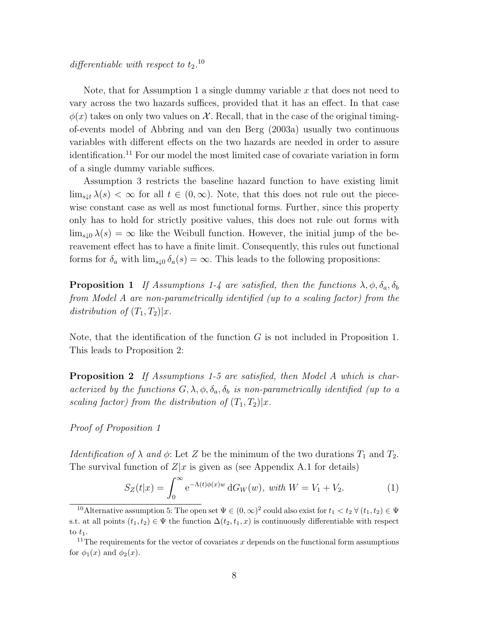differentiable with respect to  $t_2$ .<sup>10</sup>

Note, that for Assumption 1 a single dummy variable x that does not need to vary across the two hazards suffices, provided that it has an effect. In that case  $\phi(x)$  takes on only two values on X. Recall, that in the case of the original timingof-events model of Abbring and van den Berg (2003a) usually two continuous variables with different effects on the two hazards are needed in order to assure identification.<sup>11</sup> For our model the most limited case of covariate variation in form of a single dummy variable suffices.

Assumption 3 restricts the baseline hazard function to have existing limit  $\lim_{s\downarrow t}\lambda(s)<\infty$  for all  $t\in(0,\infty)$ . Note, that this does not rule out the piecewise constant case as well as most functional forms. Further, since this property only has to hold for strictly positive values, this does not rule out forms with  $\lim_{s\downarrow 0} \lambda(s) = \infty$  like the Weibull function. However, the initial jump of the bereavement effect has to have a finite limit. Consequently, this rules out functional forms for  $\delta_a$  with  $\lim_{s\downarrow 0} \delta_a(s) = \infty$ . This leads to the following propositions:

**Proposition 1** If Assumptions 1-4 are satisfied, then the functions  $\lambda$ ,  $\phi$ ,  $\delta_a$ ,  $\delta_b$ from Model A are non-parametrically identified (up to a scaling factor) from the distribution of  $(T_1, T_2)|x$ .

Note, that the identification of the function  $G$  is not included in Proposition 1. This leads to Proposition 2:

**Proposition 2** If Assumptions 1-5 are satisfied, then Model A which is characterized by the functions  $G, \lambda, \phi, \delta_a, \delta_b$  is non-parametrically identified (up to a scaling factor) from the distribution of  $(T_1, T_2)|x$ .

Proof of Proposition 1

*Identification of*  $\lambda$  *and*  $\phi$ : Let Z be the minimum of the two durations  $T_1$  and  $T_2$ . The survival function of  $Z|x$  is given as (see Appendix A.1 for details)

$$
S_Z(t|x) = \int_0^\infty e^{-\Lambda(t)\phi(x)w} dG_W(w), \text{ with } W = V_1 + V_2. \tag{1}
$$

<sup>&</sup>lt;sup>10</sup> Alternative assumption 5: The open set  $\Psi \in (0,\infty)^2$  could also exist for  $t_1 < t_2 \forall (t_1,t_2) \in \Psi$ s.t. at all points  $(t_1, t_2) \in \Psi$  the function  $\Delta(t_2, t_1, x)$  is continuously differentiable with respect to  $t_1$ .

<sup>&</sup>lt;sup>11</sup>The requirements for the vector of covariates x depends on the functional form assumptions for  $\phi_1(x)$  and  $\phi_2(x)$ .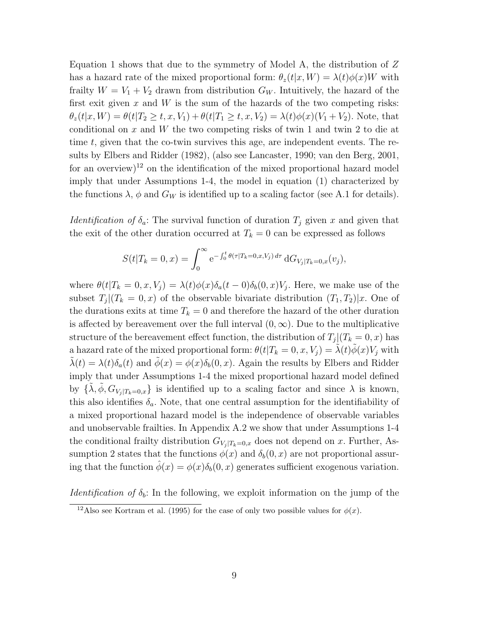Equation 1 shows that due to the symmetry of Model A, the distribution of  $Z$ has a hazard rate of the mixed proportional form:  $\theta_z(t|x, W) = \lambda(t)\phi(x)W$  with frailty  $W = V_1 + V_2$  drawn from distribution  $G_W$ . Intuitively, the hazard of the first exit given x and  $W$  is the sum of the hazards of the two competing risks:  $\theta_z(t|x, W) = \theta(t|T_2 \ge t, x, V_1) + \theta(t|T_1 \ge t, x, V_2) = \lambda(t)\phi(x)(V_1 + V_2)$ . Note, that conditional on x and W the two competing risks of twin 1 and twin 2 to die at time t, given that the co-twin survives this age, are independent events. The results by Elbers and Ridder (1982), (also see Lancaster, 1990; van den Berg, 2001, for an overview)<sup>12</sup> on the identification of the mixed proportional hazard model imply that under Assumptions 1-4, the model in equation (1) characterized by the functions  $\lambda$ ,  $\phi$  and  $G_W$  is identified up to a scaling factor (see A.1 for details).

*Identification of*  $\delta_a$ : The survival function of duration  $T_j$  given x and given that the exit of the other duration occurred at  $T_k = 0$  can be expressed as follows

$$
S(t|T_k=0,x) = \int_0^\infty e^{-\int_0^t \theta(\tau|T_k=0,x,V_j) d\tau} dG_{V_j|T_k=0,x}(v_j),
$$

where  $\theta(t|T_k=0,x,V_j)=\lambda(t)\phi(x)\delta_a(t-0)\delta_b(0,x)V_j$ . Here, we make use of the subset  $T_j|(T_k=0,x)$  of the observable bivariate distribution  $(T_1,T_2)|x$ . One of the durations exits at time  $T_k = 0$  and therefore the hazard of the other duration is affected by bereavement over the full interval  $(0, \infty)$ . Due to the multiplicative structure of the bereavement effect function, the distribution of  $T_j|(T_k=0,x)$  has a hazard rate of the mixed proportional form:  $\theta(t|T_k = 0, x, V_j) = \tilde{\lambda}(t)\tilde{\phi}(x)V_j$  with  $\lambda(t) = \lambda(t)\delta_a(t)$  and  $\phi(x) = \phi(x)\delta_b(0, x)$ . Again the results by Elbers and Ridder imply that under Assumptions 1-4 the mixed proportional hazard model defined by  $\{\tilde{\lambda}, \tilde{\phi}, G_{V_j|T_k=0,x}\}$  is identified up to a scaling factor and since  $\lambda$  is known, this also identifies  $\delta_a$ . Note, that one central assumption for the identifiability of a mixed proportional hazard model is the independence of observable variables and unobservable frailties. In Appendix A.2 we show that under Assumptions 1-4 the conditional frailty distribution  $G_{V_i | T_k=0,x}$  does not depend on x. Further, Assumption 2 states that the functions  $\phi(x)$  and  $\delta_b(0, x)$  are not proportional assuring that the function  $\phi(x) = \phi(x)\delta_b(0, x)$  generates sufficient exogenous variation.

*Identification of*  $\delta_b$ : In the following, we exploit information on the jump of the

<sup>&</sup>lt;sup>12</sup>Also see Kortram et al. (1995) for the case of only two possible values for  $\phi(x)$ .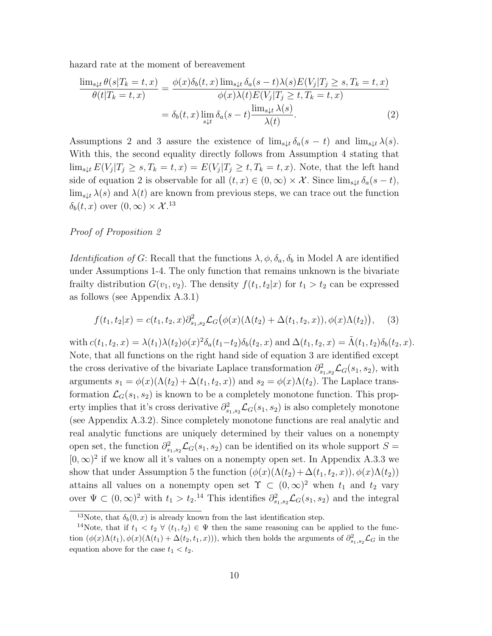hazard rate at the moment of bereavement

$$
\frac{\lim_{s\downarrow t} \theta(s|T_k = t, x)}{\theta(t|T_k = t, x)} = \frac{\phi(x)\delta_b(t, x)\lim_{s\downarrow t} \delta_a(s - t)\lambda(s)E(V_j|T_j \ge s, T_k = t, x)}{\phi(x)\lambda(t)E(V_j|T_j \ge t, T_k = t, x)}
$$
\n
$$
= \delta_b(t, x)\lim_{s\downarrow t} \delta_a(s - t)\frac{\lim_{s\downarrow t} \lambda(s)}{\lambda(t)}.
$$
\n(2)

Assumptions 2 and 3 assure the existence of  $\lim_{s \downarrow t} \delta_a(s - t)$  and  $\lim_{s \downarrow t} \lambda(s)$ . With this, the second equality directly follows from Assumption 4 stating that  $\lim_{s\downarrow t} E(V_j|T_j\geq s,T_k=t,x)=E(V_j|T_j\geq t,T_k=t,x)$ . Note, that the left hand side of equation 2 is observable for all  $(t, x) \in (0, \infty) \times \mathcal{X}$ . Since  $\lim_{s \downarrow t} \delta_a(s - t)$ ,  $\lim_{s\downarrow t} \lambda(s)$  and  $\lambda(t)$  are known from previous steps, we can trace out the function  $\delta_b(t, x)$  over  $(0, \infty) \times \mathcal{X}.^{13}$ 

#### Proof of Proposition 2

*Identification of G*: Recall that the functions  $\lambda, \phi, \delta_a, \delta_b$  in Model A are identified under Assumptions 1-4. The only function that remains unknown is the bivariate frailty distribution  $G(v_1, v_2)$ . The density  $f(t_1, t_2|x)$  for  $t_1 > t_2$  can be expressed as follows (see Appendix A.3.1)

$$
f(t_1, t_2|x) = c(t_1, t_2, x)\partial_{s_1, s_2}^2 \mathcal{L}_G(\phi(x)(\Lambda(t_2) + \Delta(t_1, t_2, x)), \phi(x)\Lambda(t_2)), \quad (3)
$$

with  $c(t_1, t_2, x) = \lambda(t_1)\lambda(t_2)\phi(x)^2\delta_a(t_1-t_2)\delta_b(t_2, x)$  and  $\Delta(t_1, t_2, x) = \tilde{\Lambda}(t_1, t_2)\delta_b(t_2, x)$ . Note, that all functions on the right hand side of equation 3 are identified except the cross derivative of the bivariate Laplace transformation  $\partial_{s_1,s_2}^2 \mathcal{L}_G(s_1, s_2)$ , with arguments  $s_1 = \phi(x)(\Lambda(t_2) + \Delta(t_1, t_2, x))$  and  $s_2 = \phi(x)\Lambda(t_2)$ . The Laplace transformation  $\mathcal{L}_G(s_1, s_2)$  is known to be a completely monotone function. This property implies that it's cross derivative  $\partial_{s_1,s_2}^2 \mathcal{L}_G(s_1, s_2)$  is also completely monotone (see Appendix A.3.2). Since completely monotone functions are real analytic and real analytic functions are uniquely determined by their values on a nonempty open set, the function  $\partial_{s_1,s_2}^2 \mathcal{L}_G(s_1,s_2)$  can be identified on its whole support  $S =$  $[0, \infty)^2$  if we know all it's values on a nonempty open set. In Appendix A.3.3 we show that under Assumption 5 the function  $(\phi(x)(\Lambda(t_2)+\Delta(t_1,t_2,x)), \phi(x)\Lambda(t_2))$ attains all values on a nonempty open set  $\Upsilon \subset (0,\infty)^2$  when  $t_1$  and  $t_2$  vary over  $\Psi \subset (0,\infty)^2$  with  $t_1 > t_2$ .<sup>14</sup> This identifies  $\partial_{s_1,s_2}^2 \mathcal{L}_G(s_1,s_2)$  and the integral

<sup>&</sup>lt;sup>13</sup>Note, that  $\delta_b(0, x)$  is already known from the last identification step.

<sup>&</sup>lt;sup>14</sup>Note, that if  $t_1 < t_2 \forall (t_1, t_2) \in \Psi$  then the same reasoning can be applied to the function  $(\phi(x)\Lambda(t_1), \phi(x)(\Lambda(t_1) + \Delta(t_2, t_1, x)))$ , which then holds the arguments of  $\partial_{s_1, s_2}^2 \mathcal{L}_G$  in the equation above for the case  $t_1 < t_2$ .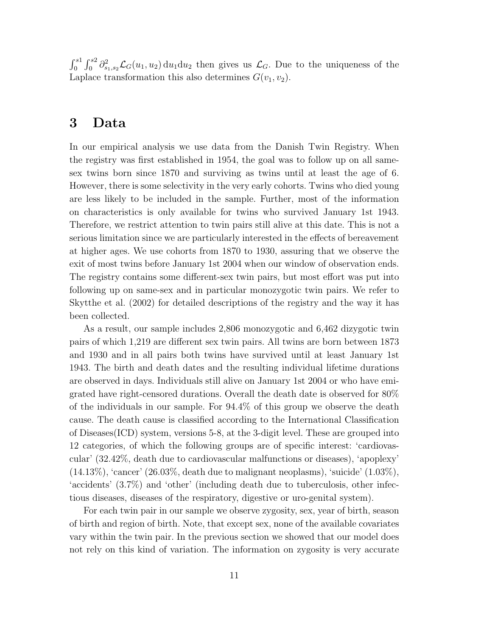$\int_0^{s_1} \int_0^{s_2} \partial_{s_1,s_2}^2 \mathcal{L}_G(u_1, u_2) \, du_1 du_2$  then gives us  $\mathcal{L}_G$ . Due to the uniqueness of the Laplace transformation this also determines  $G(v_1, v_2)$ .

## 3 Data

In our empirical analysis we use data from the Danish Twin Registry. When the registry was first established in 1954, the goal was to follow up on all samesex twins born since 1870 and surviving as twins until at least the age of 6. However, there is some selectivity in the very early cohorts. Twins who died young are less likely to be included in the sample. Further, most of the information on characteristics is only available for twins who survived January 1st 1943. Therefore, we restrict attention to twin pairs still alive at this date. This is not a serious limitation since we are particularly interested in the effects of bereavement at higher ages. We use cohorts from 1870 to 1930, assuring that we observe the exit of most twins before January 1st 2004 when our window of observation ends. The registry contains some different-sex twin pairs, but most effort was put into following up on same-sex and in particular monozygotic twin pairs. We refer to Skytthe et al. (2002) for detailed descriptions of the registry and the way it has been collected.

As a result, our sample includes 2,806 monozygotic and 6,462 dizygotic twin pairs of which 1,219 are different sex twin pairs. All twins are born between 1873 and 1930 and in all pairs both twins have survived until at least January 1st 1943. The birth and death dates and the resulting individual lifetime durations are observed in days. Individuals still alive on January 1st 2004 or who have emigrated have right-censored durations. Overall the death date is observed for 80% of the individuals in our sample. For 94.4% of this group we observe the death cause. The death cause is classified according to the International Classification of Diseases(ICD) system, versions 5-8, at the 3-digit level. These are grouped into 12 categories, of which the following groups are of specific interest: 'cardiovascular' (32.42%, death due to cardiovascular malfunctions or diseases), 'apoplexy'  $(14.13\%)$ , 'cancer'  $(26.03\%$ , death due to malignant neoplasms), 'suicide'  $(1.03\%)$ , 'accidents' (3.7%) and 'other' (including death due to tuberculosis, other infectious diseases, diseases of the respiratory, digestive or uro-genital system).

For each twin pair in our sample we observe zygosity, sex, year of birth, season of birth and region of birth. Note, that except sex, none of the available covariates vary within the twin pair. In the previous section we showed that our model does not rely on this kind of variation. The information on zygosity is very accurate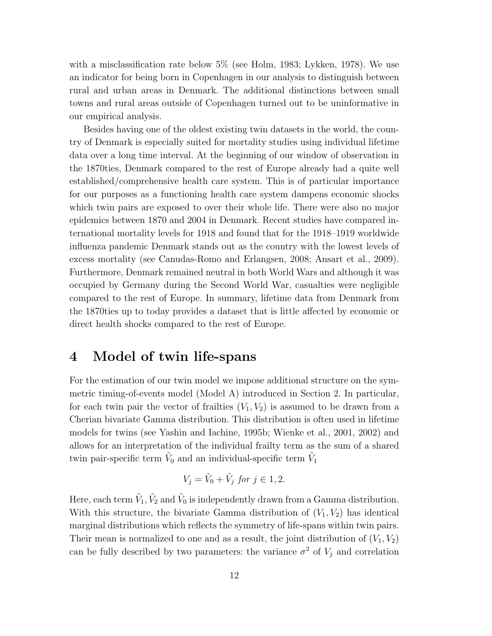with a misclassification rate below 5% (see Holm, 1983; Lykken, 1978). We use an indicator for being born in Copenhagen in our analysis to distinguish between rural and urban areas in Denmark. The additional distinctions between small towns and rural areas outside of Copenhagen turned out to be uninformative in our empirical analysis.

Besides having one of the oldest existing twin datasets in the world, the country of Denmark is especially suited for mortality studies using individual lifetime data over a long time interval. At the beginning of our window of observation in the 1870ties, Denmark compared to the rest of Europe already had a quite well established/comprehensive health care system. This is of particular importance for our purposes as a functioning health care system dampens economic shocks which twin pairs are exposed to over their whole life. There were also no major epidemics between 1870 and 2004 in Denmark. Recent studies have compared international mortality levels for 1918 and found that for the 1918–1919 worldwide influenza pandemic Denmark stands out as the country with the lowest levels of excess mortality (see Canudas-Romo and Erlangsen, 2008; Ansart et al., 2009). Furthermore, Denmark remained neutral in both World Wars and although it was occupied by Germany during the Second World War, casualties were negligible compared to the rest of Europe. In summary, lifetime data from Denmark from the 1870ties up to today provides a dataset that is little affected by economic or direct health shocks compared to the rest of Europe.

## 4 Model of twin life-spans

For the estimation of our twin model we impose additional structure on the symmetric timing-of-events model (Model A) introduced in Section 2. In particular, for each twin pair the vector of frailties  $(V_1, V_2)$  is assumed to be drawn from a Cherian bivariate Gamma distribution. This distribution is often used in lifetime models for twins (see Yashin and Iachine, 1995b; Wienke et al., 2001, 2002) and allows for an interpretation of the individual frailty term as the sum of a shared twin pair-specific term  $\tilde{V}_0$  and an individual-specific term  $\tilde{V}_1$ 

$$
V_j = \tilde{V}_0 + \tilde{V}_j \text{ for } j \in 1, 2.
$$

Here, each term  $\tilde{V}_1, \tilde{V}_2$  and  $\tilde{V}_0$  is independently drawn from a Gamma distribution. With this structure, the bivariate Gamma distribution of  $(V_1, V_2)$  has identical marginal distributions which reflects the symmetry of life-spans within twin pairs. Their mean is normalized to one and as a result, the joint distribution of  $(V_1, V_2)$ can be fully described by two parameters: the variance  $\sigma^2$  of  $V_j$  and correlation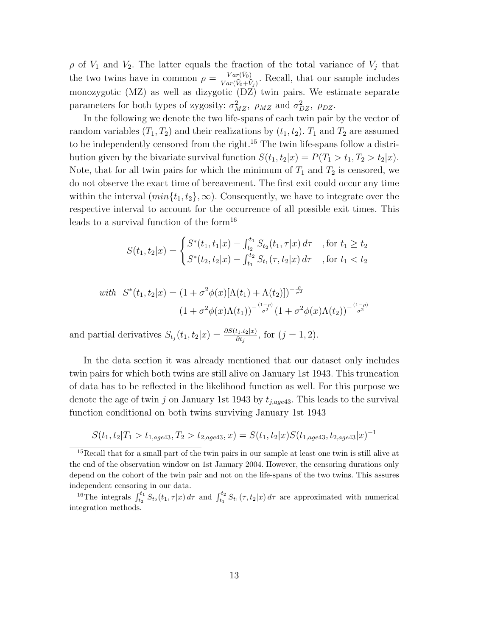$\rho$  of  $V_1$  and  $V_2$ . The latter equals the fraction of the total variance of  $V_j$  that the two twins have in common  $\rho = \frac{Var(\tilde{V}_0)}{Var(\tilde{V}_0 + \tilde{V}_0)}$  $\frac{Var(V_0)}{Var(\tilde{V}_0+\tilde{V}_j)}$ . Recall, that our sample includes monozygotic (MZ) as well as dizygotic (DZ) twin pairs. We estimate separate parameters for both types of zygosity:  $\sigma_{MZ}^2$ ,  $\rho_{MZ}$  and  $\sigma_{DZ}^2$ ,  $\rho_{DZ}$ .

In the following we denote the two life-spans of each twin pair by the vector of random variables  $(T_1, T_2)$  and their realizations by  $(t_1, t_2)$ .  $T_1$  and  $T_2$  are assumed to be independently censored from the right.<sup>15</sup> The twin life-spans follow a distribution given by the bivariate survival function  $S(t_1, t_2|x) = P(T_1 > t_1, T_2 > t_2|x)$ . Note, that for all twin pairs for which the minimum of  $T_1$  and  $T_2$  is censored, we do not observe the exact time of bereavement. The first exit could occur any time within the interval  $(min{t_1, t_2}, \infty)$ . Consequently, we have to integrate over the respective interval to account for the occurrence of all possible exit times. This leads to a survival function of the form<sup>16</sup>

$$
S(t_1, t_2|x) = \begin{cases} S^*(t_1, t_1|x) - \int_{t_2}^{t_1} S_{t_2}(t_1, \tau|x) d\tau & \text{, for } t_1 \ge t_2\\ S^*(t_2, t_2|x) - \int_{t_1}^{t_2} S_{t_1}(\tau, t_2|x) d\tau & \text{, for } t_1 < t_2 \end{cases}
$$

with 
$$
S^*(t_1, t_2|x) = (1 + \sigma^2 \phi(x)[\Lambda(t_1) + \Lambda(t_2)])^{-\frac{\rho}{\sigma^2}}
$$
  

$$
(1 + \sigma^2 \phi(x)\Lambda(t_1))^{-\frac{(1-\rho)}{\sigma^2}}(1 + \sigma^2 \phi(x)\Lambda(t_2))^{-\frac{(1-\rho)}{\sigma^2}}
$$

and partial derivatives  $S_{t_j}(t_1, t_2|x) = \frac{\partial S(t_1, t_2|x)}{\partial t_j}$ , for  $(j = 1, 2)$ .

In the data section it was already mentioned that our dataset only includes twin pairs for which both twins are still alive on January 1st 1943. This truncation of data has to be reflected in the likelihood function as well. For this purpose we denote the age of twin j on January 1st 1943 by  $t_{i,age43}$ . This leads to the survival function conditional on both twins surviving January 1st 1943

$$
S(t_1, t_2 | T_1 > t_{1,age43}, T_2 > t_{2,age43}, x) = S(t_1, t_2 | x) S(t_{1,age43}, t_{2,age43} | x)^{-1}
$$

<sup>&</sup>lt;sup>15</sup>Recall that for a small part of the twin pairs in our sample at least one twin is still alive at the end of the observation window on 1st January 2004. However, the censoring durations only depend on the cohort of the twin pair and not on the life-spans of the two twins. This assures independent censoring in our data.

<sup>&</sup>lt;sup>16</sup>The integrals  $\int_{t_2}^{t_1} S_{t_2}(t_1, \tau | x) d\tau$  and  $\int_{t_1}^{t_2} S_{t_1}(\tau, t_2 | x) d\tau$  are approximated with numerical integration methods.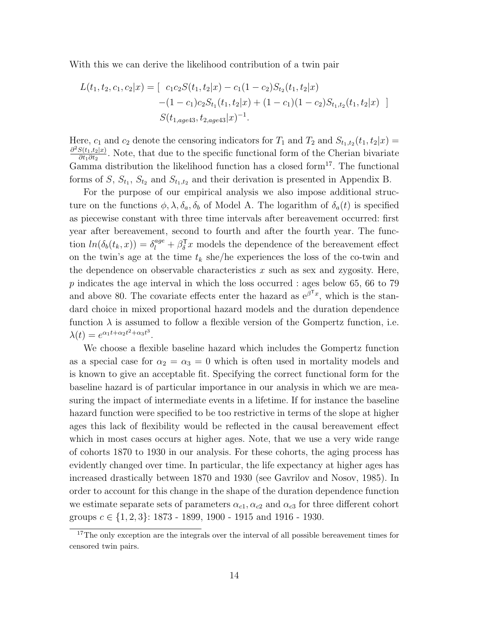With this we can derive the likelihood contribution of a twin pair

$$
L(t_1, t_2, c_1, c_2 | x) = [c_1 c_2 S(t_1, t_2 | x) - c_1 (1 - c_2) S_{t_2}(t_1, t_2 | x) - (1 - c_1) c_2 S_{t_1}(t_1, t_2 | x) + (1 - c_1) (1 - c_2) S_{t_1, t_2}(t_1, t_2 | x)]
$$
  

$$
S(t_{1, age43}, t_{2, age43} | x)^{-1}.
$$

Here,  $c_1$  and  $c_2$  denote the censoring indicators for  $T_1$  and  $T_2$  and  $S_{t_1,t_2}(t_1,t_2|x)$  $\partial^2 S(t_1,t_2|x)$  $\frac{S(t_1,t_2|x)}{\partial t_1 \partial t_2}$ . Note, that due to the specific functional form of the Cherian bivariate Gamma distribution the likelihood function has a closed form<sup>17</sup>. The functional forms of S,  $S_{t_1}$ ,  $S_{t_2}$  and  $S_{t_1,t_2}$  and their derivation is presented in Appendix B.

For the purpose of our empirical analysis we also impose additional structure on the functions  $\phi$ ,  $\lambda$ ,  $\delta_a$ ,  $\delta_b$  of Model A. The logarithm of  $\delta_a(t)$  is specified as piecewise constant with three time intervals after bereavement occurred: first year after bereavement, second to fourth and after the fourth year. The function  $ln(\delta_b(t_k, x)) = \delta_l^{age} + \beta_b^{\mathsf{T}} x$  models the dependence of the bereavement effect on the twin's age at the time  $t_k$  she/he experiences the loss of the co-twin and the dependence on observable characteristics  $x$  such as sex and zygosity. Here,  $p$  indicates the age interval in which the loss occurred : ages below 65, 66 to 79 and above 80. The covariate effects enter the hazard as  $e^{\beta^T x}$ , which is the standard choice in mixed proportional hazard models and the duration dependence function  $\lambda$  is assumed to follow a flexible version of the Gompertz function, i.e.  $\lambda(t) = e^{\alpha_1 t + \alpha_2 t^2 + \alpha_3 t^3}.$ 

We choose a flexible baseline hazard which includes the Gompertz function as a special case for  $\alpha_2 = \alpha_3 = 0$  which is often used in mortality models and is known to give an acceptable fit. Specifying the correct functional form for the baseline hazard is of particular importance in our analysis in which we are measuring the impact of intermediate events in a lifetime. If for instance the baseline hazard function were specified to be too restrictive in terms of the slope at higher ages this lack of flexibility would be reflected in the causal bereavement effect which in most cases occurs at higher ages. Note, that we use a very wide range of cohorts 1870 to 1930 in our analysis. For these cohorts, the aging process has evidently changed over time. In particular, the life expectancy at higher ages has increased drastically between 1870 and 1930 (see Gavrilov and Nosov, 1985). In order to account for this change in the shape of the duration dependence function we estimate separate sets of parameters  $\alpha_{c1}, \alpha_{c2}$  and  $\alpha_{c3}$  for three different cohort groups  $c \in \{1, 2, 3\}$ : 1873 - 1899, 1900 - 1915 and 1916 - 1930.

<sup>&</sup>lt;sup>17</sup>The only exception are the integrals over the interval of all possible bereavement times for censored twin pairs.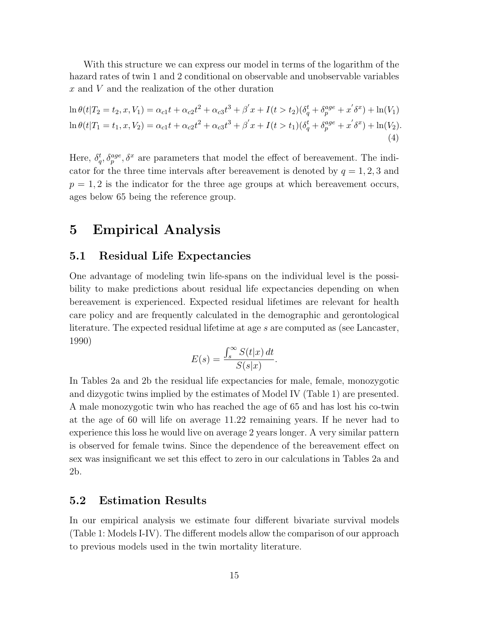With this structure we can express our model in terms of the logarithm of the hazard rates of twin 1 and 2 conditional on observable and unobservable variables x and V and the realization of the other duration

$$
\ln \theta(t|T_2 = t_2, x, V_1) = \alpha_{c1}t + \alpha_{c2}t^2 + \alpha_{c3}t^3 + \beta'x + I(t > t_2)(\delta_q^t + \delta_p^{age} + x'\delta^x) + \ln(V_1)
$$
  
\n
$$
\ln \theta(t|T_1 = t_1, x, V_2) = \alpha_{c1}t + \alpha_{c2}t^2 + \alpha_{c3}t^3 + \beta'x + I(t > t_1)(\delta_q^t + \delta_p^{age} + x'\delta^x) + \ln(V_2).
$$
\n(4)

Here,  $\delta_q^t, \delta_p^{age}, \delta_x^x$  are parameters that model the effect of bereavement. The indicator for the three time intervals after bereavement is denoted by  $q = 1, 2, 3$  and  $p = 1, 2$  is the indicator for the three age groups at which bereavement occurs, ages below 65 being the reference group.

### 5 Empirical Analysis

#### 5.1 Residual Life Expectancies

One advantage of modeling twin life-spans on the individual level is the possibility to make predictions about residual life expectancies depending on when bereavement is experienced. Expected residual lifetimes are relevant for health care policy and are frequently calculated in the demographic and gerontological literature. The expected residual lifetime at age s are computed as (see Lancaster, 1990)

$$
E(s) = \frac{\int_{s}^{\infty} S(t|x) dt}{S(s|x)}.
$$

In Tables 2a and 2b the residual life expectancies for male, female, monozygotic and dizygotic twins implied by the estimates of Model IV (Table 1) are presented. A male monozygotic twin who has reached the age of 65 and has lost his co-twin at the age of 60 will life on average 11.22 remaining years. If he never had to experience this loss he would live on average 2 years longer. A very similar pattern is observed for female twins. Since the dependence of the bereavement effect on sex was insignificant we set this effect to zero in our calculations in Tables 2a and 2b.

#### 5.2 Estimation Results

In our empirical analysis we estimate four different bivariate survival models (Table 1: Models I-IV). The different models allow the comparison of our approach to previous models used in the twin mortality literature.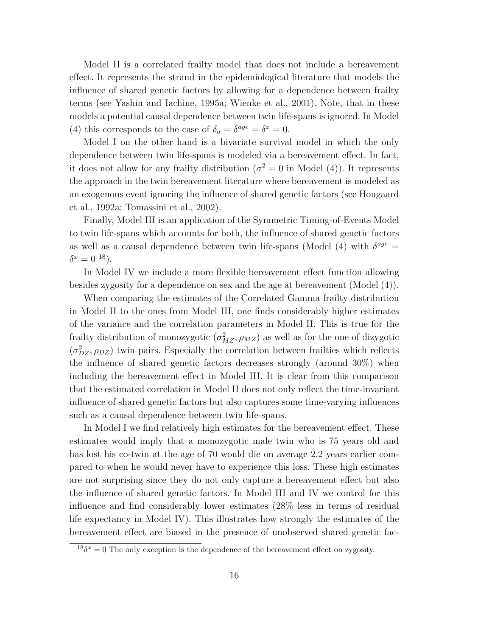Model II is a correlated frailty model that does not include a bereavement effect. It represents the strand in the epidemiological literature that models the influence of shared genetic factors by allowing for a dependence between frailty terms (see Yashin and Iachine, 1995a; Wienke et al., 2001). Note, that in these models a potential causal dependence between twin life-spans is ignored. In Model (4) this corresponds to the case of  $\delta_a = \delta^{age} = \delta^x = 0$ .

Model I on the other hand is a bivariate survival model in which the only dependence between twin life-spans is modeled via a bereavement effect. In fact, it does not allow for any frailty distribution ( $\sigma^2 = 0$  in Model (4)). It represents the approach in the twin bereavement literature where bereavement is modeled as an exogenous event ignoring the influence of shared genetic factors (see Hougaard et al., 1992a; Tomassini et al., 2002).

Finally, Model III is an application of the Symmetric Timing-of-Events Model to twin life-spans which accounts for both, the influence of shared genetic factors as well as a causal dependence between twin life-spans (Model (4) with  $\delta^{age} =$  $\delta^x = 0^{18}$ ).

In Model IV we include a more flexible bereavement effect function allowing besides zygosity for a dependence on sex and the age at bereavement (Model (4)).

When comparing the estimates of the Correlated Gamma frailty distribution in Model II to the ones from Model III, one finds considerably higher estimates of the variance and the correlation parameters in Model II. This is true for the frailty distribution of monozygotic  $(\sigma_{MZ}^2, \rho_{MZ})$  as well as for the one of dizygotic  $(\sigma_{DZ}^2, \rho_{DZ})$  twin pairs. Especially the correlation between frailties which reflects the influence of shared genetic factors decreases strongly (around 30%) when including the bereavement effect in Model III. It is clear from this comparison that the estimated correlation in Model II does not only reflect the time-invariant influence of shared genetic factors but also captures some time-varying influences such as a causal dependence between twin life-spans.

In Model I we find relatively high estimates for the bereavement effect. These estimates would imply that a monozygotic male twin who is 75 years old and has lost his co-twin at the age of 70 would die on average 2.2 years earlier compared to when he would never have to experience this loss. These high estimates are not surprising since they do not only capture a bereavement effect but also the influence of shared genetic factors. In Model III and IV we control for this influence and find considerably lower estimates (28% less in terms of residual life expectancy in Model IV). This illustrates how strongly the estimates of the bereavement effect are biased in the presence of unobserved shared genetic fac-

 $^{18}\delta^x = 0$  The only exception is the dependence of the bereavement effect on zygosity.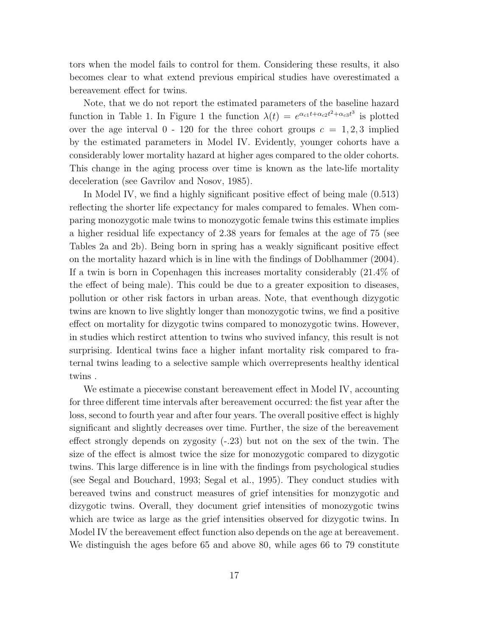tors when the model fails to control for them. Considering these results, it also becomes clear to what extend previous empirical studies have overestimated a bereavement effect for twins.

Note, that we do not report the estimated parameters of the baseline hazard function in Table 1. In Figure 1 the function  $\lambda(t) = e^{\alpha_{c1}t + \alpha_{c2}t^2 + \alpha_{c3}t^3}$  is plotted over the age interval  $0 - 120$  for the three cohort groups  $c = 1, 2, 3$  implied by the estimated parameters in Model IV. Evidently, younger cohorts have a considerably lower mortality hazard at higher ages compared to the older cohorts. This change in the aging process over time is known as the late-life mortality deceleration (see Gavrilov and Nosov, 1985).

In Model IV, we find a highly significant positive effect of being male (0.513) reflecting the shorter life expectancy for males compared to females. When comparing monozygotic male twins to monozygotic female twins this estimate implies a higher residual life expectancy of 2.38 years for females at the age of 75 (see Tables 2a and 2b). Being born in spring has a weakly significant positive effect on the mortality hazard which is in line with the findings of Doblhammer (2004). If a twin is born in Copenhagen this increases mortality considerably (21.4% of the effect of being male). This could be due to a greater exposition to diseases, pollution or other risk factors in urban areas. Note, that eventhough dizygotic twins are known to live slightly longer than monozygotic twins, we find a positive effect on mortality for dizygotic twins compared to monozygotic twins. However, in studies which restirct attention to twins who suvived infancy, this result is not surprising. Identical twins face a higher infant mortality risk compared to fraternal twins leading to a selective sample which overrepresents healthy identical twins .

We estimate a piecewise constant bereavement effect in Model IV, accounting for three different time intervals after bereavement occurred: the fist year after the loss, second to fourth year and after four years. The overall positive effect is highly significant and slightly decreases over time. Further, the size of the bereavement effect strongly depends on zygosity (-.23) but not on the sex of the twin. The size of the effect is almost twice the size for monozygotic compared to dizygotic twins. This large difference is in line with the findings from psychological studies (see Segal and Bouchard, 1993; Segal et al., 1995). They conduct studies with bereaved twins and construct measures of grief intensities for monzygotic and dizygotic twins. Overall, they document grief intensities of monozygotic twins which are twice as large as the grief intensities observed for dizygotic twins. In Model IV the bereavement effect function also depends on the age at bereavement. We distinguish the ages before 65 and above 80, while ages 66 to 79 constitute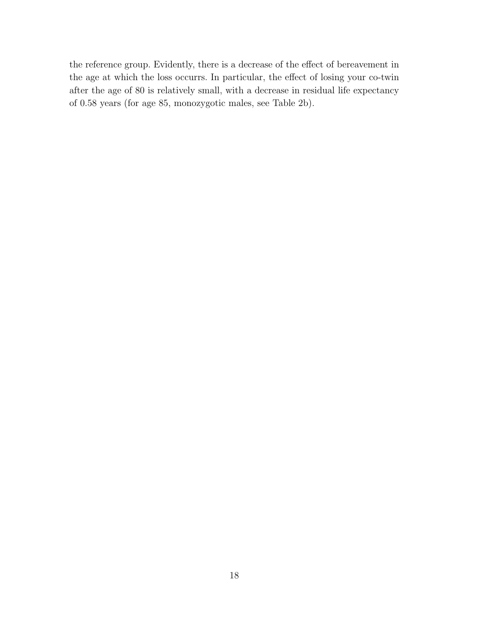the reference group. Evidently, there is a decrease of the effect of bereavement in the age at which the loss occurrs. In particular, the effect of losing your co-twin after the age of 80 is relatively small, with a decrease in residual life expectancy of 0.58 years (for age 85, monozygotic males, see Table 2b).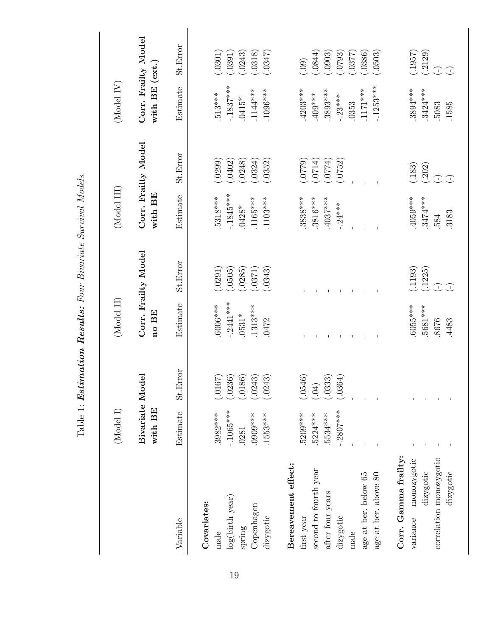|                         |                            |          |             | LUNCIA IN DESCRIPTION OF THE RESERVED ON A LUNCION OF THE SAME OF THE SAME OF THE SAME OF THE SAME OF THE SAME OF THE SAME OF THE SAME OF THE SAME OF THE SAME OF THE SAME OF THE SAME OF THE SAME OF THE SAME OF THE SAME OF |             |                      |                |                     |
|-------------------------|----------------------------|----------|-------------|-------------------------------------------------------------------------------------------------------------------------------------------------------------------------------------------------------------------------------|-------------|----------------------|----------------|---------------------|
|                         | (Model I)                  |          | (Model II)  |                                                                                                                                                                                                                               | (Model III) |                      | (Model IV)     |                     |
|                         | Bivariate Model<br>with BE |          | no BE       | Corr. Frailty Model                                                                                                                                                                                                           | with BE     | Corr. Frailty Model  | with BE (ext.) | Corr. Frailty Model |
| Variable                | Estimate                   | St.Error | Estimate    | St. Error                                                                                                                                                                                                                     | Estimate    | St.Error             | Estimate       | St.Error            |
| Covariates:             |                            |          |             |                                                                                                                                                                                                                               |             |                      |                |                     |
| $_{\rm male}$           | $.3982***$                 | (.0167)  | $.6006***$  | (.0291)                                                                                                                                                                                                                       | $.5318***$  | (.0299)              | $.513***$      | (.0301)             |
| log(birth year)         | $-.1065***$                | (.0236)  | $-.2441***$ | (.0505)                                                                                                                                                                                                                       | $-.1845***$ | (.0402)              | $-.1837***$    | (.0391)             |
| spring                  | .0281                      | (.0186)  | $.0531*$    | (.0285)                                                                                                                                                                                                                       | $.0428*$    | (.0248)              | $.0415*$       | (.0243)             |
| Copenhagen              | $***6060$ .                | (.0243)  | $1313***$   | (.0371)                                                                                                                                                                                                                       | $.1165***$  | (.0324)              | 1144***        | (.0318)             |
| dizygotic               | $.1553***$                 | (.0243)  | .0472       | (.0343)                                                                                                                                                                                                                       | $.1103***$  | (.0352)              | $.1096***$     | (.0347)             |
| Bereavement effect:     |                            |          |             |                                                                                                                                                                                                                               |             |                      |                |                     |
| first year              | .5209***                   | (.0546)  |             |                                                                                                                                                                                                                               | $.3838***$  | (6220)               | $.4203***$     | (.09)               |
| second to fourth year   | $.5224***$                 | (60)     |             |                                                                                                                                                                                                                               | $.3816***$  | (5170)               | $.409***$      | (.644)              |
| after four years        | 5534****                   | (.0333)  |             |                                                                                                                                                                                                                               | $.4037***$  | (10774)              | $.3893***$     | (.0903)             |
| dizygotic               | $-.2807***$                | (.0364)  |             |                                                                                                                                                                                                                               | $-.24***$   | (.0752)              | $-.23***$      | (.0793)             |
| male                    |                            |          |             |                                                                                                                                                                                                                               |             |                      | .0353          | (.7780.)            |
| age at ber. below 65    |                            |          |             |                                                                                                                                                                                                                               |             |                      | $.1171***$     | (.0386)             |
| age at ber. above 80    |                            |          |             |                                                                                                                                                                                                                               |             |                      | $-.1253***$    | (.0503)             |
| Corr. Gamma frailty:    |                            |          |             |                                                                                                                                                                                                                               |             |                      |                |                     |
| monozygotic<br>variance |                            |          | .6055***    | (.1193)                                                                                                                                                                                                                       | $.4059***$  |                      | $.3894***$     | (1957)              |
| dizygotic               |                            |          | 5681***     | (.1225)                                                                                                                                                                                                                       | $.3474***$  | $(.183)$<br>$(.202)$ | $3424***$      | (.2129)             |
| correlation monozygotic |                            |          | 8676        | $\bigcirc$                                                                                                                                                                                                                    | .584        | $\bigcirc$           | 5083           | $\bigcirc$          |
| dizygotic               |                            |          | .4483       | $\bigcirc$                                                                                                                                                                                                                    | .3183       | $\bigcirc$           | .1585          | $\bigcirc$          |

Table 1: **Estimation Results:** Four Bivariate Survival Models  $Table 1: Estimation$   $\bm{Results:}$  Four Bivariate Survival Models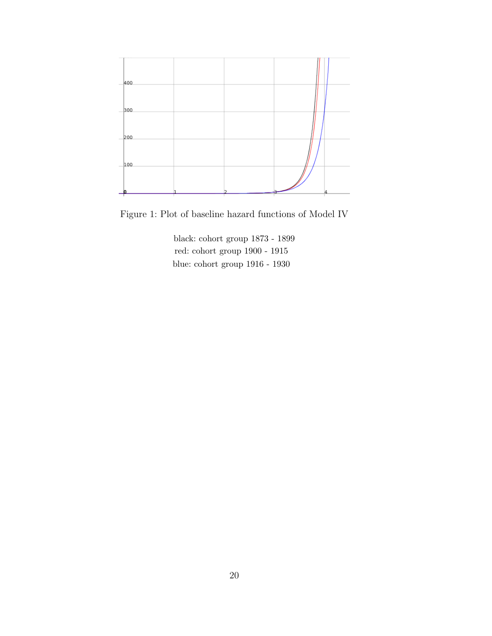

Figure 1: Plot of baseline hazard functions of Model IV

black: cohort group 1873 - 1899 red: cohort group 1900 - 1915 blue: cohort group 1916 - 1930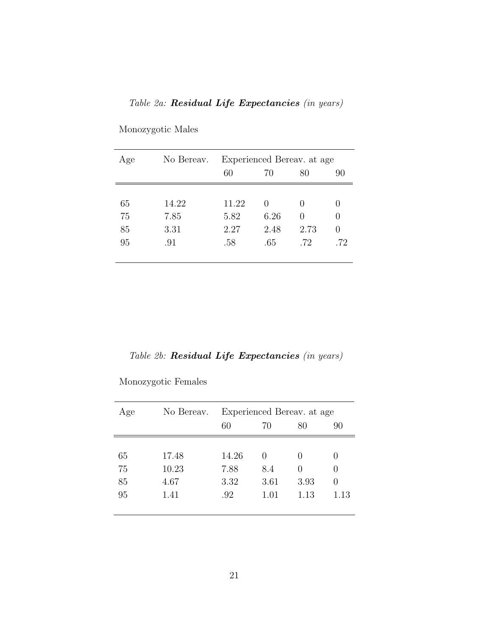### Table 2a: Residual Life Expectancies (in years)

| Age | No Bereav. | Experienced Bereav. at age |      |                  |                  |  |
|-----|------------|----------------------------|------|------------------|------------------|--|
|     |            | 60                         | 70   | 80               | 90               |  |
|     |            |                            |      |                  |                  |  |
| 65  | 14.22      | 11.22                      |      | $\left( \right)$ | $\theta$         |  |
| 75  | 7.85       | 5.82                       | 6.26 | $\left( \right)$ | $\theta$         |  |
| 85  | 3.31       | 2.27                       | 2.48 | 2.73             | $\left( \right)$ |  |
| 95  | .91        | .58                        | .65  | .72              | .72              |  |
|     |            |                            |      |                  |                  |  |

Monozygotic Males

Table 2b: Residual Life Expectancies (in years)

Monozygotic Females

| Age | No Bereav. | Experienced Bereav. at age |                  |                  |                  |  |
|-----|------------|----------------------------|------------------|------------------|------------------|--|
|     |            | 60                         | 70               | 80               | 90               |  |
|     |            |                            |                  |                  |                  |  |
| 65  | 17.48      | 14.26                      | $\left( \right)$ | $\left( \right)$ | $\mathbf{0}$     |  |
| 75  | 10.23      | 7.88                       | 8.4              | $\left( \right)$ | $\left( \right)$ |  |
| 85  | 4.67       | 3.32                       | 3.61             | 3.93             | $\left( \right)$ |  |
| 95  | 1.41       | .92                        | 1.01             | 1.13             | 1.13             |  |
|     |            |                            |                  |                  |                  |  |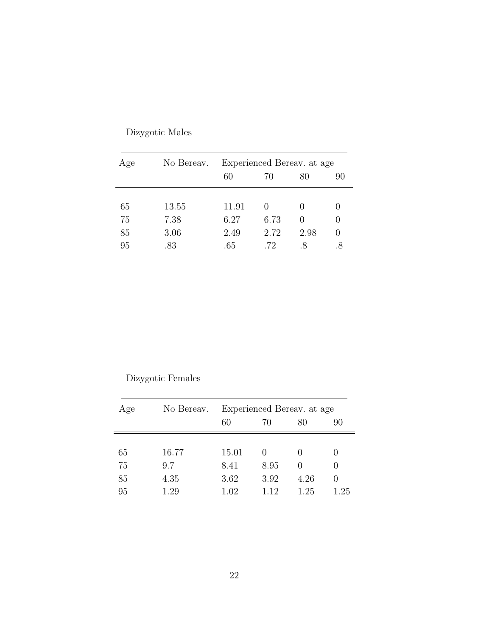| Age | No Bereav. | Experienced Bereav. at age |        |                  |                  |  |
|-----|------------|----------------------------|--------|------------------|------------------|--|
|     |            | 60                         | 70     | 80               | 90               |  |
|     |            |                            |        |                  |                  |  |
| 65  | 13.55      | 11.91                      | $\cup$ |                  | 0                |  |
| 75  | 7.38       | 6.27                       | 6.73   | $\left( \right)$ | $\left( \right)$ |  |
| 85  | 3.06       | 2.49                       | 2.72   | 2.98             | 0                |  |
| 95  | .83        | .65                        | .72    | .8               | .8               |  |

Dizygotic Males

### Dizygotic Females

| Age | No Bereav. | Experienced Bereav. at age |                  |                  |                  |  |
|-----|------------|----------------------------|------------------|------------------|------------------|--|
|     |            | 60                         | 70               | 80               | 90               |  |
|     |            |                            |                  |                  |                  |  |
| 65  | 16.77      | 15.01                      | $\left( \right)$ | $\left( \right)$ | $\mathbf{0}$     |  |
| 75  | 9.7        | 8.41                       | 8.95             | $\left( \right)$ | $\cup$           |  |
| 85  | 4.35       | 3.62                       | 3.92             | 4.26             | $\left( \right)$ |  |
| 95  | 1.29       | 1.02                       | 1.12             | 1.25             | 1.25             |  |
|     |            |                            |                  |                  |                  |  |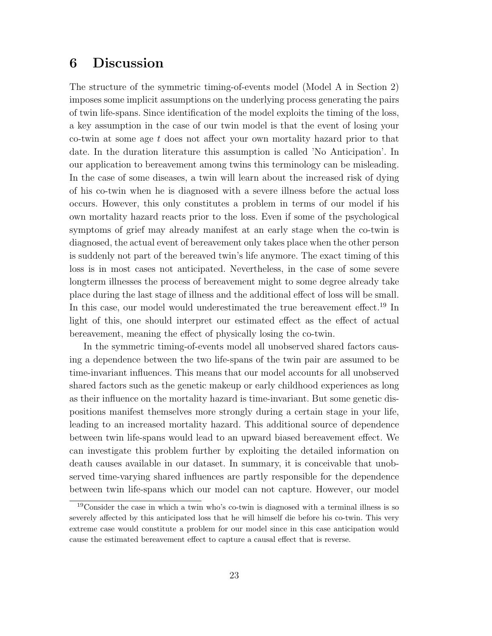# 6 Discussion

The structure of the symmetric timing-of-events model (Model A in Section 2) imposes some implicit assumptions on the underlying process generating the pairs of twin life-spans. Since identification of the model exploits the timing of the loss, a key assumption in the case of our twin model is that the event of losing your co-twin at some age t does not affect your own mortality hazard prior to that date. In the duration literature this assumption is called 'No Anticipation'. In our application to bereavement among twins this terminology can be misleading. In the case of some diseases, a twin will learn about the increased risk of dying of his co-twin when he is diagnosed with a severe illness before the actual loss occurs. However, this only constitutes a problem in terms of our model if his own mortality hazard reacts prior to the loss. Even if some of the psychological symptoms of grief may already manifest at an early stage when the co-twin is diagnosed, the actual event of bereavement only takes place when the other person is suddenly not part of the bereaved twin's life anymore. The exact timing of this loss is in most cases not anticipated. Nevertheless, in the case of some severe longterm illnesses the process of bereavement might to some degree already take place during the last stage of illness and the additional effect of loss will be small. In this case, our model would underestimated the true bereavement effect.<sup>19</sup> In light of this, one should interpret our estimated effect as the effect of actual bereavement, meaning the effect of physically losing the co-twin.

In the symmetric timing-of-events model all unobserved shared factors causing a dependence between the two life-spans of the twin pair are assumed to be time-invariant influences. This means that our model accounts for all unobserved shared factors such as the genetic makeup or early childhood experiences as long as their influence on the mortality hazard is time-invariant. But some genetic dispositions manifest themselves more strongly during a certain stage in your life, leading to an increased mortality hazard. This additional source of dependence between twin life-spans would lead to an upward biased bereavement effect. We can investigate this problem further by exploiting the detailed information on death causes available in our dataset. In summary, it is conceivable that unobserved time-varying shared influences are partly responsible for the dependence between twin life-spans which our model can not capture. However, our model

<sup>19</sup>Consider the case in which a twin who's co-twin is diagnosed with a terminal illness is so severely affected by this anticipated loss that he will himself die before his co-twin. This very extreme case would constitute a problem for our model since in this case anticipation would cause the estimated bereavement effect to capture a causal effect that is reverse.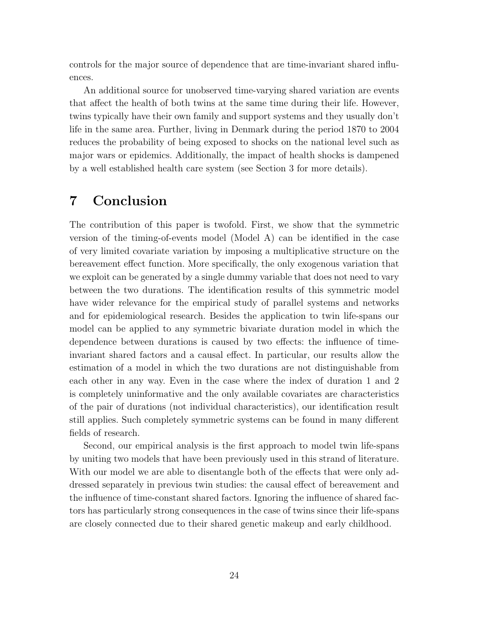controls for the major source of dependence that are time-invariant shared influences.

An additional source for unobserved time-varying shared variation are events that affect the health of both twins at the same time during their life. However, twins typically have their own family and support systems and they usually don't life in the same area. Further, living in Denmark during the period 1870 to 2004 reduces the probability of being exposed to shocks on the national level such as major wars or epidemics. Additionally, the impact of health shocks is dampened by a well established health care system (see Section 3 for more details).

# 7 Conclusion

The contribution of this paper is twofold. First, we show that the symmetric version of the timing-of-events model (Model A) can be identified in the case of very limited covariate variation by imposing a multiplicative structure on the bereavement effect function. More specifically, the only exogenous variation that we exploit can be generated by a single dummy variable that does not need to vary between the two durations. The identification results of this symmetric model have wider relevance for the empirical study of parallel systems and networks and for epidemiological research. Besides the application to twin life-spans our model can be applied to any symmetric bivariate duration model in which the dependence between durations is caused by two effects: the influence of timeinvariant shared factors and a causal effect. In particular, our results allow the estimation of a model in which the two durations are not distinguishable from each other in any way. Even in the case where the index of duration 1 and 2 is completely uninformative and the only available covariates are characteristics of the pair of durations (not individual characteristics), our identification result still applies. Such completely symmetric systems can be found in many different fields of research.

Second, our empirical analysis is the first approach to model twin life-spans by uniting two models that have been previously used in this strand of literature. With our model we are able to disentangle both of the effects that were only addressed separately in previous twin studies: the causal effect of bereavement and the influence of time-constant shared factors. Ignoring the influence of shared factors has particularly strong consequences in the case of twins since their life-spans are closely connected due to their shared genetic makeup and early childhood.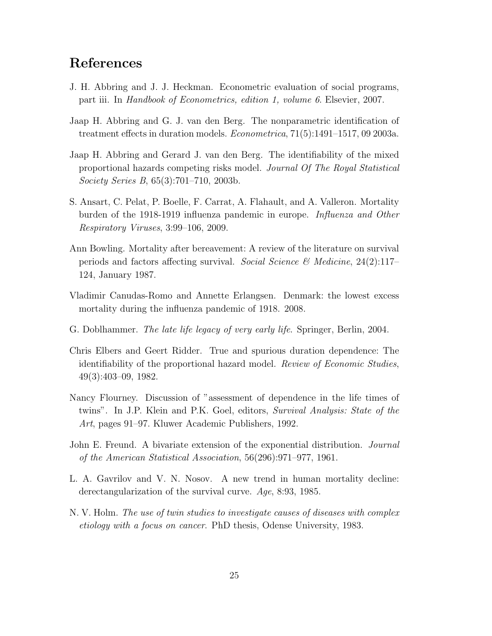# References

- J. H. Abbring and J. J. Heckman. Econometric evaluation of social programs, part iii. In Handbook of Econometrics, edition 1, volume 6. Elsevier, 2007.
- Jaap H. Abbring and G. J. van den Berg. The nonparametric identification of treatment effects in duration models. Econometrica, 71(5):1491–1517, 09 2003a.
- Jaap H. Abbring and Gerard J. van den Berg. The identifiability of the mixed proportional hazards competing risks model. Journal Of The Royal Statistical Society Series B, 65(3):701–710, 2003b.
- S. Ansart, C. Pelat, P. Boelle, F. Carrat, A. Flahault, and A. Valleron. Mortality burden of the 1918-1919 influenza pandemic in europe. Influenza and Other Respiratory Viruses, 3:99–106, 2009.
- Ann Bowling. Mortality after bereavement: A review of the literature on survival periods and factors affecting survival. Social Science & Medicine,  $24(2):117-$ 124, January 1987.
- Vladimir Canudas-Romo and Annette Erlangsen. Denmark: the lowest excess mortality during the influenza pandemic of 1918. 2008.
- G. Doblhammer. The late life legacy of very early life. Springer, Berlin, 2004.
- Chris Elbers and Geert Ridder. True and spurious duration dependence: The identifiability of the proportional hazard model. Review of Economic Studies, 49(3):403–09, 1982.
- Nancy Flourney. Discussion of "assessment of dependence in the life times of twins". In J.P. Klein and P.K. Goel, editors, *Survival Analysis: State of the* Art, pages 91–97. Kluwer Academic Publishers, 1992.
- John E. Freund. A bivariate extension of the exponential distribution. Journal of the American Statistical Association, 56(296):971–977, 1961.
- L. A. Gavrilov and V. N. Nosov. A new trend in human mortality decline: derectangularization of the survival curve. Age, 8:93, 1985.
- N. V. Holm. The use of twin studies to investigate causes of diseases with complex etiology with a focus on cancer. PhD thesis, Odense University, 1983.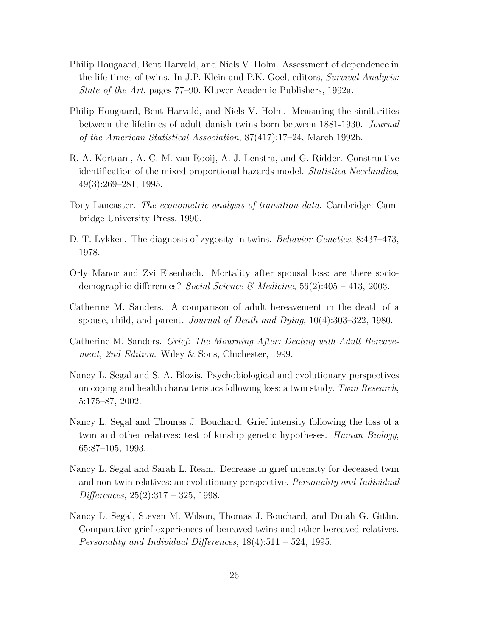- Philip Hougaard, Bent Harvald, and Niels V. Holm. Assessment of dependence in the life times of twins. In J.P. Klein and P.K. Goel, editors, Survival Analysis: State of the Art, pages 77–90. Kluwer Academic Publishers, 1992a.
- Philip Hougaard, Bent Harvald, and Niels V. Holm. Measuring the similarities between the lifetimes of adult danish twins born between 1881-1930. Journal of the American Statistical Association, 87(417):17–24, March 1992b.
- R. A. Kortram, A. C. M. van Rooij, A. J. Lenstra, and G. Ridder. Constructive identification of the mixed proportional hazards model. Statistica Neerlandica, 49(3):269–281, 1995.
- Tony Lancaster. The econometric analysis of transition data. Cambridge: Cambridge University Press, 1990.
- D. T. Lykken. The diagnosis of zygosity in twins. Behavior Genetics, 8:437–473, 1978.
- Orly Manor and Zvi Eisenbach. Mortality after spousal loss: are there sociodemographic differences? Social Science & Medicine,  $56(2):405 - 413$ , 2003.
- Catherine M. Sanders. A comparison of adult bereavement in the death of a spouse, child, and parent. Journal of Death and Dying, 10(4):303–322, 1980.
- Catherine M. Sanders. Grief: The Mourning After: Dealing with Adult Bereavement, 2nd Edition. Wiley & Sons, Chichester, 1999.
- Nancy L. Segal and S. A. Blozis. Psychobiological and evolutionary perspectives on coping and health characteristics following loss: a twin study. Twin Research, 5:175–87, 2002.
- Nancy L. Segal and Thomas J. Bouchard. Grief intensity following the loss of a twin and other relatives: test of kinship genetic hypotheses. *Human Biology*, 65:87–105, 1993.
- Nancy L. Segal and Sarah L. Ream. Decrease in grief intensity for deceased twin and non-twin relatives: an evolutionary perspective. Personality and Individual Differences, 25(2):317 – 325, 1998.
- Nancy L. Segal, Steven M. Wilson, Thomas J. Bouchard, and Dinah G. Gitlin. Comparative grief experiences of bereaved twins and other bereaved relatives. Personality and Individual Differences, 18(4):511 – 524, 1995.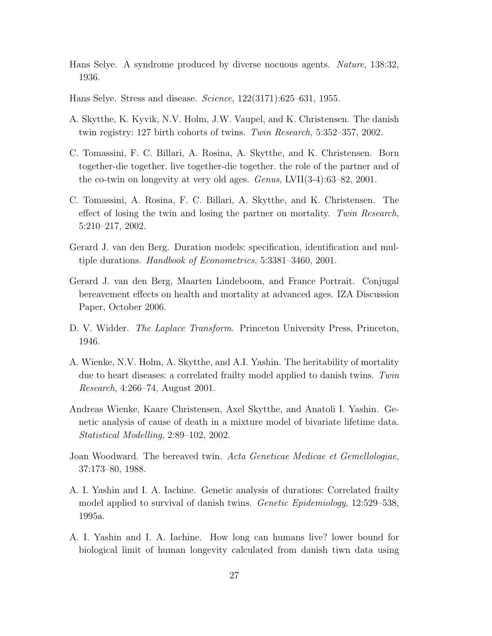- Hans Selye. A syndrome produced by diverse nocuous agents. Nature, 138:32, 1936.
- Hans Selye. Stress and disease. Science, 122(3171):625–631, 1955.
- A. Skytthe, K. Kyvik, N.V. Holm, J.W. Vaupel, and K. Christensen. The danish twin registry: 127 birth cohorts of twins. Twin Research, 5:352–357, 2002.
- C. Tomassini, F. C. Billari, A. Rosina, A. Skytthe, and K. Christensen. Born together-die together. live together-die together. the role of the partner and of the co-twin on longevity at very old ages. Genus, LVII(3-4):63–82, 2001.
- C. Tomassini, A. Rosina, F. C. Billari, A. Skytthe, and K. Christensen. The effect of losing the twin and losing the partner on mortality. Twin Research, 5:210–217, 2002.
- Gerard J. van den Berg. Duration models: specification, identification and multiple durations. Handbook of Econometrics, 5:3381–3460, 2001.
- Gerard J. van den Berg, Maarten Lindeboom, and France Portrait. Conjugal bereavement effects on health and mortality at advanced ages. IZA Discussion Paper, October 2006.
- D. V. Widder. *The Laplace Transform*. Princeton University Press, Princeton, 1946.
- A. Wienke, N.V. Holm, A. Skytthe, and A.I. Yashin. The heritability of mortality due to heart diseases: a correlated frailty model applied to danish twins. Twin Research, 4:266–74, August 2001.
- Andreas Wienke, Kaare Christensen, Axel Skytthe, and Anatoli I. Yashin. Genetic analysis of cause of death in a mixture model of bivariate lifetime data. Statistical Modelling, 2:89–102, 2002.
- Joan Woodward. The bereaved twin. Acta Geneticae Medicae et Gemellologiae, 37:173–80, 1988.
- A. I. Yashin and I. A. Iachine. Genetic analysis of durations: Correlated frailty model applied to survival of danish twins. *Genetic Epidemiology*, 12:529–538, 1995a.
- A. I. Yashin and I. A. Iachine. How long can humans live? lower bound for biological limit of human longevity calculated from danish tiwn data using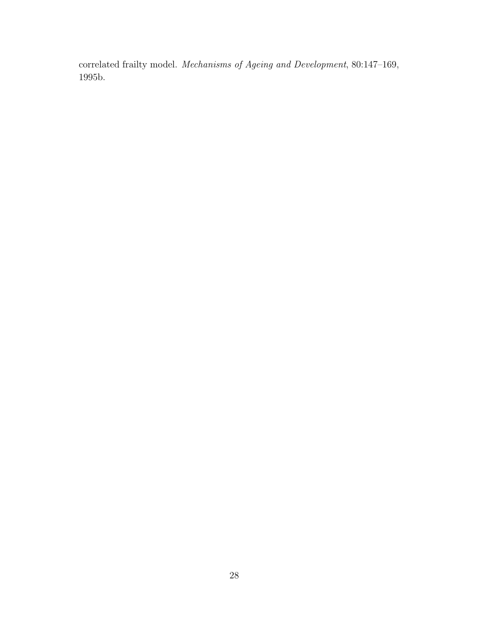correlated frailty model. Mechanisms of Ageing and Development, 80:147–169, 1995b.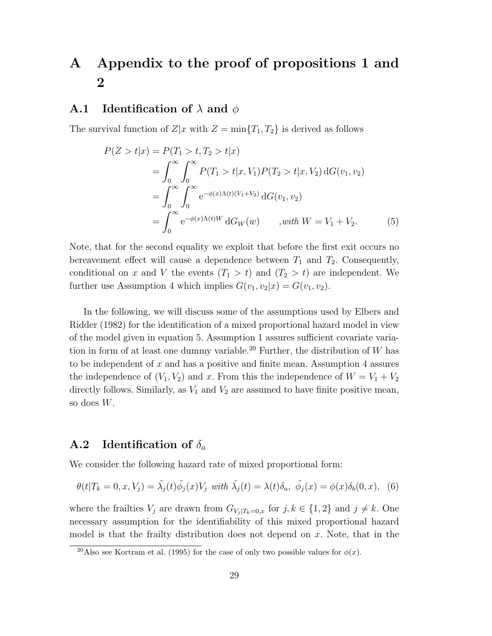# A Appendix to the proof of propositions 1 and 2

#### **A.1** Identification of  $\lambda$  and  $\phi$

The survival function of  $Z|x$  with  $Z = \min\{T_1, T_2\}$  is derived as follows

$$
P(Z > t|x) = P(T_1 > t, T_2 > t|x)
$$
  
= 
$$
\int_0^\infty \int_0^\infty P(T_1 > t|x, V_1)P(T_2 > t|x, V_2) dG(v_1, v_2)
$$
  
= 
$$
\int_0^\infty \int_0^\infty e^{-\phi(x)\Lambda(t)(V_1 + V_2)} dG(v_1, v_2)
$$
  
= 
$$
\int_0^\infty e^{-\phi(x)\Lambda(t)W} dG_W(w) \qquad , with \ W = V_1 + V_2.
$$
 (5)

Note, that for the second equality we exploit that before the first exit occurs no bereavement effect will cause a dependence between  $T_1$  and  $T_2$ . Consequently, conditional on x and V the events  $(T_1 > t)$  and  $(T_2 > t)$  are independent. We further use Assumption 4 which implies  $G(v_1, v_2|x) = G(v_1, v_2)$ .

In the following, we will discuss some of the assumptions used by Elbers and Ridder (1982) for the identification of a mixed proportional hazard model in view of the model given in equation 5. Assumption 1 assures sufficient covariate variation in form of at least one dummy variable.<sup>20</sup> Further, the distribution of W has to be independent of  $x$  and has a positive and finite mean. Assumption 4 assures the independence of  $(V_1, V_2)$  and x. From this the independence of  $W = V_1 + V_2$ directly follows. Similarly, as  $V_1$  and  $V_2$  are assumed to have finite positive mean, so does W.

### **A.2** Identification of  $\delta_a$

We consider the following hazard rate of mixed proportional form:

$$
\theta(t|T_k=0,x,V_j)=\tilde{\lambda}_j(t)\tilde{\phi}_j(x)V_j \text{ with } \tilde{\lambda}_j(t)=\lambda(t)\delta_a, \ \tilde{\phi}_j(x)=\phi(x)\delta_b(0,x), \tag{6}
$$

where the frailties  $V_j$  are drawn from  $G_{V_j | T_k=0,x}$  for  $j, k \in \{1,2\}$  and  $j \neq k$ . One necessary assumption for the identifiability of this mixed proportional hazard model is that the frailty distribution does not depend on  $x$ . Note, that in the

<sup>&</sup>lt;sup>20</sup>Also see Kortram et al. (1995) for the case of only two possible values for  $\phi(x)$ .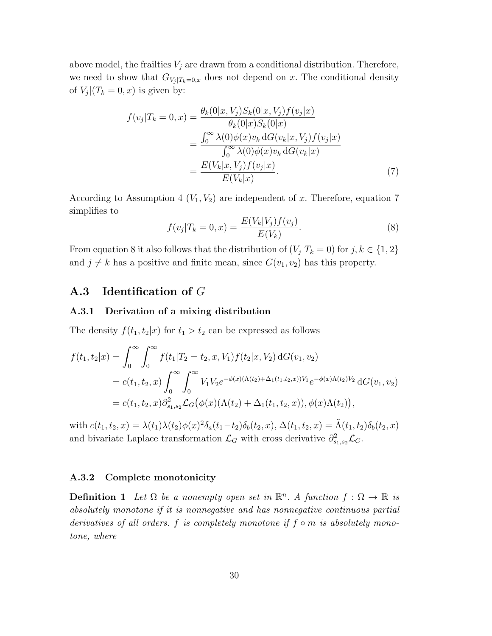above model, the frailties  $V_j$  are drawn from a conditional distribution. Therefore, we need to show that  $G_{V_j | T_k=0,x}$  does not depend on x. The conditional density of  $V_j|(T_k=0,x)$  is given by:

$$
f(v_j|T_k = 0, x) = \frac{\theta_k(0|x, V_j)S_k(0|x, V_j)f(v_j|x)}{\theta_k(0|x)S_k(0|x)} \\
= \frac{\int_0^\infty \lambda(0)\phi(x)v_k \,dG(v_k|x, V_j)f(v_j|x)}{\int_0^\infty \lambda(0)\phi(x)v_k \,dG(v_k|x)} \\
= \frac{E(V_k|x, V_j)f(v_j|x)}{E(V_k|x)}.\n\tag{7}
$$

According to Assumption 4  $(V_1, V_2)$  are independent of x. Therefore, equation 7 simplifies to

$$
f(v_j|T_k = 0, x) = \frac{E(V_k|V_j)f(v_j)}{E(V_k)}.
$$
\n(8)

From equation 8 it also follows that the distribution of  $(V_j|T_k=0)$  for  $j, k \in \{1,2\}$ and  $j \neq k$  has a positive and finite mean, since  $G(v_1, v_2)$  has this property.

### A.3 Identification of G

#### A.3.1 Derivation of a mixing distribution

The density  $f(t_1, t_2|x)$  for  $t_1 > t_2$  can be expressed as follows

$$
f(t_1, t_2|x) = \int_0^\infty \int_0^\infty f(t_1|T_2 = t_2, x, V_1) f(t_2|x, V_2) dG(v_1, v_2)
$$
  
=  $c(t_1, t_2, x) \int_0^\infty \int_0^\infty V_1 V_2 e^{-\phi(x)(\Lambda(t_2) + \Delta_1(t_1, t_2, x))V_1} e^{-\phi(x)\Lambda(t_2)V_2} dG(v_1, v_2)$   
=  $c(t_1, t_2, x) \partial_{s_1, s_2}^2 \mathcal{L}_G(\phi(x)(\Lambda(t_2) + \Delta_1(t_1, t_2, x)), \phi(x)\Lambda(t_2)),$ 

with  $c(t_1, t_2, x) = \lambda(t_1)\lambda(t_2)\phi(x)^2\delta_a(t_1-t_2)\delta_b(t_2, x), \Delta(t_1, t_2, x) = \tilde{\Lambda}(t_1, t_2)\delta_b(t_2, x)$ and bivariate Laplace transformation  $\mathcal{L}_G$  with cross derivative  $\partial_{s_1,s_2}^2 \mathcal{L}_G$ .

#### A.3.2 Complete monotonicity

**Definition 1** Let  $\Omega$  be a nonempty open set in  $\mathbb{R}^n$ . A function  $f : \Omega \to \mathbb{R}$  is absolutely monotone if it is nonnegative and has nonnegative continuous partial derivatives of all orders. f is completely monotone if  $f \circ m$  is absolutely monotone, where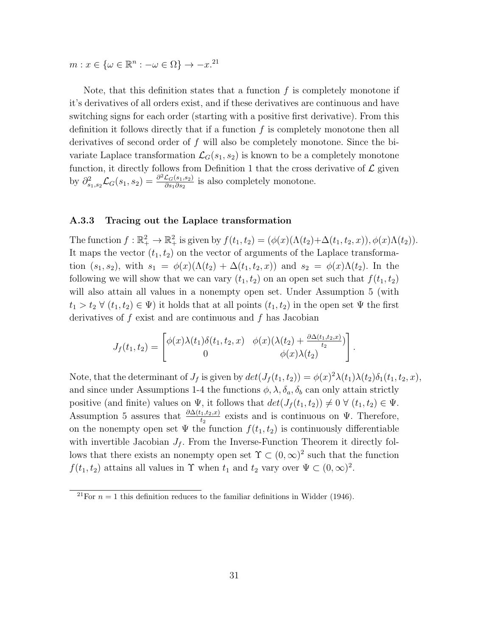$m: x \in {\omega \in \mathbb{R}^n : -\omega \in \Omega} \rightarrow -x^{21}$ 

Note, that this definition states that a function  $f$  is completely monotone if it's derivatives of all orders exist, and if these derivatives are continuous and have switching signs for each order (starting with a positive first derivative). From this definition it follows directly that if a function  $f$  is completely monotone then all derivatives of second order of f will also be completely monotone. Since the bivariate Laplace transformation  $\mathcal{L}_G(s_1, s_2)$  is known to be a completely monotone function, it directly follows from Definition 1 that the cross derivative of  $\mathcal L$  given by  $\partial_{s_1,s_2}^2 \mathcal{L}_G(s_1,s_2) = \frac{\partial^2 \mathcal{L}_G(s_1,s_2)}{\partial s_1 \partial s_2}$  $\frac{\mathcal{L}_G(s_1, s_2)}{\partial s_1 \partial s_2}$  is also completely monotone.

#### A.3.3 Tracing out the Laplace transformation

The function  $f : \mathbb{R}_+^2 \to \mathbb{R}_+^2$  is given by  $f(t_1, t_2) = (\phi(x)(\Lambda(t_2) + \Delta(t_1, t_2, x)), \phi(x)\Lambda(t_2)).$ It maps the vector  $(t_1, t_2)$  on the vector of arguments of the Laplace transformation  $(s_1, s_2)$ , with  $s_1 = \phi(x)(\Lambda(t_2) + \Delta(t_1, t_2, x))$  and  $s_2 = \phi(x)\Lambda(t_2)$ . In the following we will show that we can vary  $(t_1, t_2)$  on an open set such that  $f(t_1, t_2)$ will also attain all values in a nonempty open set. Under Assumption 5 (with  $t_1 > t_2 \ \forall \ (t_1, t_2) \in \Psi$ ) it holds that at all points  $(t_1, t_2)$  in the open set  $\Psi$  the first derivatives of  $f$  exist and are continuous and  $f$  has Jacobian

$$
J_f(t_1, t_2) = \begin{bmatrix} \phi(x)\lambda(t_1)\delta(t_1, t_2, x) & \phi(x)(\lambda(t_2) + \frac{\partial \Delta(t_1, t_2, x)}{t_2})\\ 0 & \phi(x)\lambda(t_2) \end{bmatrix}.
$$

Note, that the determinant of  $J_f$  is given by  $det(J_f(t_1, t_2)) = \phi(x)^2 \lambda(t_1) \lambda(t_2) \delta_1(t_1, t_2, x)$ , and since under Assumptions 1-4 the functions  $\phi$ ,  $\lambda$ ,  $\delta_a$ ,  $\delta_b$  can only attain strictly positive (and finite) values on  $\Psi$ , it follows that  $det(J_f(t_1, t_2)) \neq 0 \ \forall \ (t_1, t_2) \in \Psi$ . Assumption 5 assures that  $\frac{\partial \Delta(t_1,t_2,x)}{t_2}$  exists and is continuous on Ψ. Therefore, on the nonempty open set  $\Psi$  the function  $f(t_1, t_2)$  is continuously differentiable with invertible Jacobian  $J_f$ . From the Inverse-Function Theorem it directly follows that there exists an nonempty open set  $\Upsilon \subset (0,\infty)^2$  such that the function  $f(t_1, t_2)$  attains all values in  $\Upsilon$  when  $t_1$  and  $t_2$  vary over  $\Psi \subset (0, \infty)^2$ .

<sup>&</sup>lt;sup>21</sup>For  $n = 1$  this definition reduces to the familiar definitions in Widder (1946).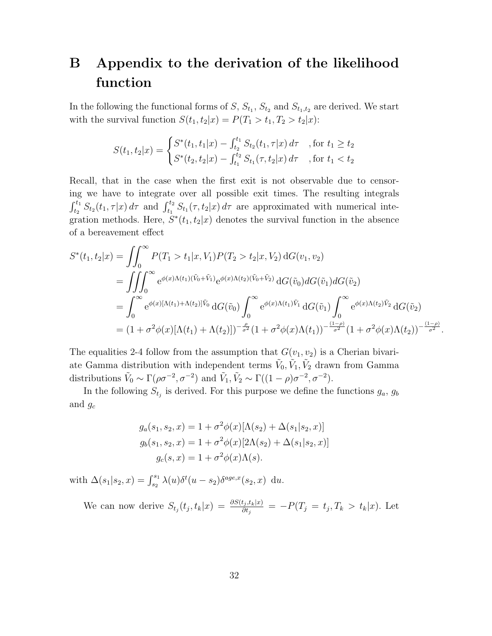# B Appendix to the derivation of the likelihood function

In the following the functional forms of  $S$ ,  $S_{t_1}$ ,  $S_{t_2}$  and  $S_{t_1,t_2}$  are derived. We start with the survival function  $S(t_1, t_2|x) = P(T_1 > t_1, T_2 > t_2|x)$ :

$$
S(t_1, t_2|x) = \begin{cases} S^*(t_1, t_1|x) - \int_{t_2}^{t_1} S_{t_2}(t_1, \tau|x) d\tau & \text{, for } t_1 \ge t_2\\ S^*(t_2, t_2|x) - \int_{t_1}^{t_2} S_{t_1}(\tau, t_2|x) d\tau & \text{, for } t_1 < t_2 \end{cases}
$$

Recall, that in the case when the first exit is not observable due to censoring we have to integrate over all possible exit times. The resulting integrals  $\int_{t_2}^{t_1} S_{t_2}(t_1, \tau | x) d\tau$  and  $\int_{t_1}^{t_2} S_{t_1}(\tau, t_2 | x) d\tau$  are approximated with numerical integration methods. Here,  $S^*(t_1, t_2|x)$  denotes the survival function in the absence of a bereavement effect

$$
S^*(t_1, t_2|x) = \iint_0^\infty P(T_1 > t_1|x, V_1) P(T_2 > t_2|x, V_2) dG(v_1, v_2)
$$
  
\n
$$
= \iiint_0^\infty e^{\phi(x)\Lambda(t_1)(\tilde{V}_0 + \tilde{V}_1)} e^{\phi(x)\Lambda(t_2)(\tilde{V}_0 + \tilde{V}_2)} dG(\tilde{v}_0) dG(\tilde{v}_1) dG(\tilde{v}_2)
$$
  
\n
$$
= \int_0^\infty e^{\phi(x)[\Lambda(t_1) + \Lambda(t_2)]\tilde{V}_0} dG(\tilde{v}_0) \int_0^\infty e^{\phi(x)\Lambda(t_1)\tilde{V}_1} dG(\tilde{v}_1) \int_0^\infty e^{\phi(x)\Lambda(t_2)\tilde{V}_2} dG(\tilde{v}_2)
$$
  
\n
$$
= (1 + \sigma^2 \phi(x)[\Lambda(t_1) + \Lambda(t_2)])^{-\frac{\rho}{\sigma^2}} (1 + \sigma^2 \phi(x)\Lambda(t_1))^{-\frac{(1-\rho)}{\sigma^2}} (1 + \sigma^2 \phi(x)\Lambda(t_2))^{-\frac{(1-\rho)}{\sigma^2}}.
$$

The equalities 2-4 follow from the assumption that  $G(v_1, v_2)$  is a Cherian bivariate Gamma distribution with independent terms  $\tilde{V}_0$ ,  $\tilde{V}_1$ ,  $\tilde{V}_2$  drawn from Gamma distributions  $\tilde{V}_0 \sim \Gamma(\rho \sigma^{-2}, \sigma^{-2})$  and  $\tilde{V}_1, \tilde{V}_2 \sim \Gamma((1 - \rho)\sigma^{-2}, \sigma^{-2})$ .

In the following  $S_{t_j}$  is derived. For this purpose we define the functions  $g_a, g_b$ and  $g_c$ 

$$
g_a(s_1, s_2, x) = 1 + \sigma^2 \phi(x) [\Lambda(s_2) + \Delta(s_1|s_2, x)]
$$
  
\n
$$
g_b(s_1, s_2, x) = 1 + \sigma^2 \phi(x) [2\Lambda(s_2) + \Delta(s_1|s_2, x)]
$$
  
\n
$$
g_c(s, x) = 1 + \sigma^2 \phi(x) \Lambda(s).
$$

with  $\Delta(s_1|s_2, x) = \int_{s_2}^{s_1} \lambda(u) \delta^t(u - s_2) \delta^{age, x}(s_2, x) du$ .

We can now derive  $S_{t_j}(t_j,t_k|x) = \frac{\partial S(t_j,t_k|x)}{\partial t_j} = -P(T_j = t_j, T_k > t_k|x)$ . Let